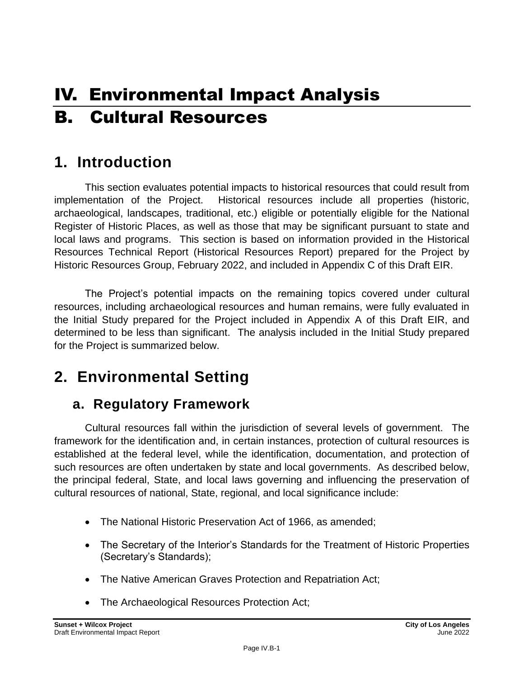# IV. Environmental Impact Analysis B. Cultural Resources

# **1. Introduction**

This section evaluates potential impacts to historical resources that could result from implementation of the Project. Historical resources include all properties (historic, archaeological, landscapes, traditional, etc.) eligible or potentially eligible for the National Register of Historic Places, as well as those that may be significant pursuant to state and local laws and programs. This section is based on information provided in the Historical Resources Technical Report (Historical Resources Report) prepared for the Project by Historic Resources Group, February 2022, and included in Appendix C of this Draft EIR.

The Project's potential impacts on the remaining topics covered under cultural resources, including archaeological resources and human remains, were fully evaluated in the Initial Study prepared for the Project included in Appendix A of this Draft EIR, and determined to be less than significant. The analysis included in the Initial Study prepared for the Project is summarized below.

# **2. Environmental Setting**

# **a. Regulatory Framework**

Cultural resources fall within the jurisdiction of several levels of government. The framework for the identification and, in certain instances, protection of cultural resources is established at the federal level, while the identification, documentation, and protection of such resources are often undertaken by state and local governments. As described below, the principal federal, State, and local laws governing and influencing the preservation of cultural resources of national, State, regional, and local significance include:

- The National Historic Preservation Act of 1966, as amended;
- The Secretary of the Interior's Standards for the Treatment of Historic Properties (Secretary's Standards);
- The Native American Graves Protection and Repatriation Act;
- The Archaeological Resources Protection Act;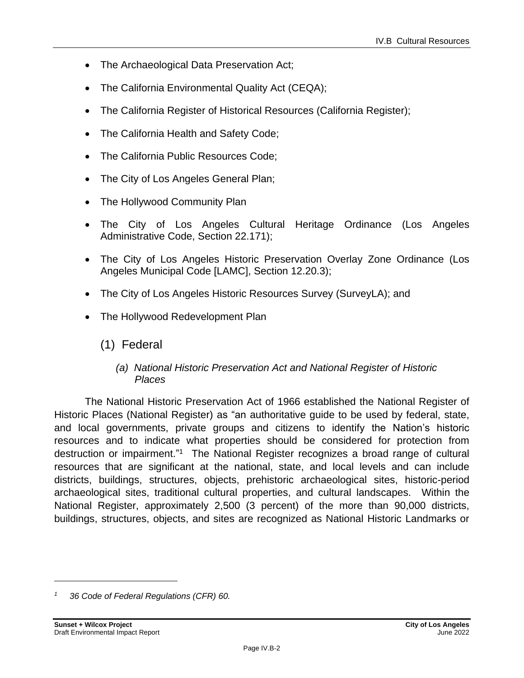- The Archaeological Data Preservation Act;
- The California Environmental Quality Act (CEQA);
- The California Register of Historical Resources (California Register);
- The California Health and Safety Code;
- The California Public Resources Code;
- The City of Los Angeles General Plan;
- The Hollywood Community Plan
- The City of Los Angeles Cultural Heritage Ordinance (Los Angeles Administrative Code, Section 22.171);
- The City of Los Angeles Historic Preservation Overlay Zone Ordinance (Los Angeles Municipal Code [LAMC], Section 12.20.3);
- The City of Los Angeles Historic Resources Survey (SurveyLA); and
- The Hollywood Redevelopment Plan
	- (1) Federal

### *(a) National Historic Preservation Act and National Register of Historic Places*

The National Historic Preservation Act of 1966 established the National Register of Historic Places (National Register) as "an authoritative guide to be used by federal, state, and local governments, private groups and citizens to identify the Nation's historic resources and to indicate what properties should be considered for protection from destruction or impairment."<sup>1</sup> The National Register recognizes a broad range of cultural resources that are significant at the national, state, and local levels and can include districts, buildings, structures, objects, prehistoric archaeological sites, historic-period archaeological sites, traditional cultural properties, and cultural landscapes. Within the National Register, approximately 2,500 (3 percent) of the more than 90,000 districts, buildings, structures, objects, and sites are recognized as National Historic Landmarks or

*<sup>1</sup> 36 Code of Federal Regulations (CFR) 60.*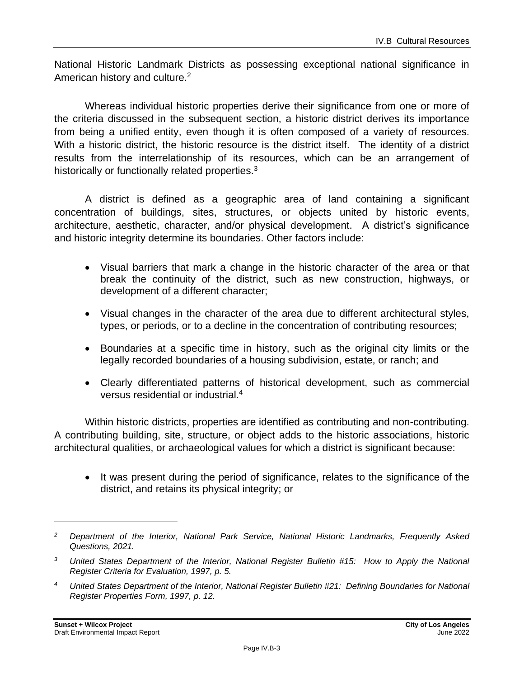National Historic Landmark Districts as possessing exceptional national significance in American history and culture.<sup>2</sup>

Whereas individual historic properties derive their significance from one or more of the criteria discussed in the subsequent section, a historic district derives its importance from being a unified entity, even though it is often composed of a variety of resources. With a historic district, the historic resource is the district itself. The identity of a district results from the interrelationship of its resources, which can be an arrangement of historically or functionally related properties.<sup>3</sup>

A district is defined as a geographic area of land containing a significant concentration of buildings, sites, structures, or objects united by historic events, architecture, aesthetic, character, and/or physical development. A district's significance and historic integrity determine its boundaries. Other factors include:

- Visual barriers that mark a change in the historic character of the area or that break the continuity of the district, such as new construction, highways, or development of a different character;
- Visual changes in the character of the area due to different architectural styles, types, or periods, or to a decline in the concentration of contributing resources;
- Boundaries at a specific time in history, such as the original city limits or the legally recorded boundaries of a housing subdivision, estate, or ranch; and
- Clearly differentiated patterns of historical development, such as commercial versus residential or industrial.<sup>4</sup>

Within historic districts, properties are identified as contributing and non-contributing. A contributing building, site, structure, or object adds to the historic associations, historic architectural qualities, or archaeological values for which a district is significant because:

• It was present during the period of significance, relates to the significance of the district, and retains its physical integrity; or

*<sup>2</sup> Department of the Interior, National Park Service, National Historic Landmarks, Frequently Asked Questions, 2021.*

*<sup>3</sup> United States Department of the Interior, National Register Bulletin #15: How to Apply the National Register Criteria for Evaluation, 1997, p. 5.*

*<sup>4</sup> United States Department of the Interior, National Register Bulletin #21: Defining Boundaries for National Register Properties Form, 1997, p. 12.*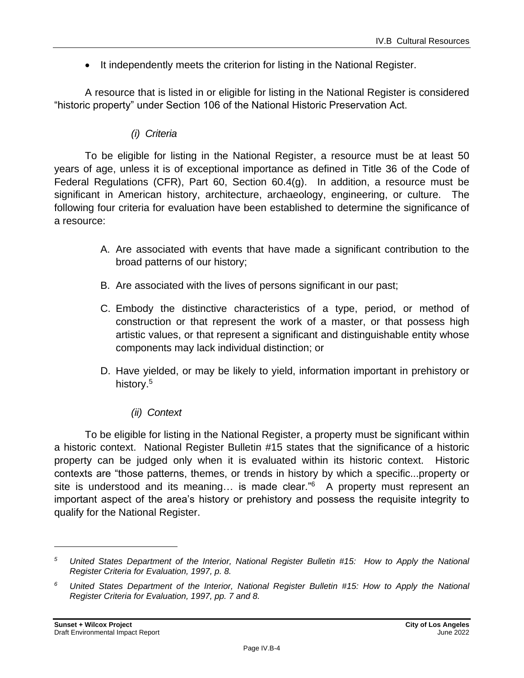• It independently meets the criterion for listing in the National Register.

A resource that is listed in or eligible for listing in the National Register is considered "historic property" under Section 106 of the National Historic Preservation Act.

### *(i) Criteria*

To be eligible for listing in the National Register, a resource must be at least 50 years of age, unless it is of exceptional importance as defined in Title 36 of the Code of Federal Regulations (CFR), Part 60, Section 60.4(g). In addition, a resource must be significant in American history, architecture, archaeology, engineering, or culture. The following four criteria for evaluation have been established to determine the significance of a resource:

- A. Are associated with events that have made a significant contribution to the broad patterns of our history;
- B. Are associated with the lives of persons significant in our past;
- C. Embody the distinctive characteristics of a type, period, or method of construction or that represent the work of a master, or that possess high artistic values, or that represent a significant and distinguishable entity whose components may lack individual distinction; or
- D. Have yielded, or may be likely to yield, information important in prehistory or history. 5
	- *(ii) Context*

To be eligible for listing in the National Register, a property must be significant within a historic context. National Register Bulletin #15 states that the significance of a historic property can be judged only when it is evaluated within its historic context. Historic contexts are "those patterns, themes, or trends in history by which a specific...property or site is understood and its meaning... is made clear."<sup>6</sup> A property must represent an important aspect of the area's history or prehistory and possess the requisite integrity to qualify for the National Register.

*<sup>5</sup> United States Department of the Interior, National Register Bulletin #15: How to Apply the National Register Criteria for Evaluation, 1997, p. 8.*

*<sup>6</sup> United States Department of the Interior, National Register Bulletin #15: How to Apply the National Register Criteria for Evaluation, 1997, pp. 7 and 8.*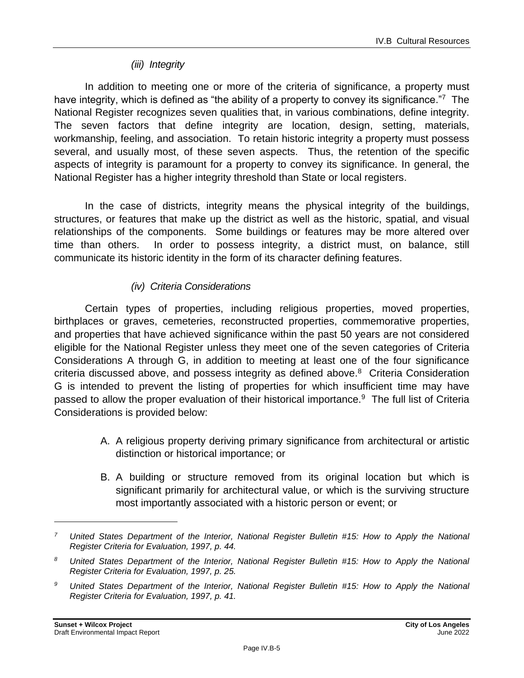#### *(iii) Integrity*

In addition to meeting one or more of the criteria of significance, a property must have integrity, which is defined as "the ability of a property to convey its significance."7 The National Register recognizes seven qualities that, in various combinations, define integrity. The seven factors that define integrity are location, design, setting, materials, workmanship, feeling, and association. To retain historic integrity a property must possess several, and usually most, of these seven aspects. Thus, the retention of the specific aspects of integrity is paramount for a property to convey its significance. In general, the National Register has a higher integrity threshold than State or local registers.

In the case of districts, integrity means the physical integrity of the buildings, structures, or features that make up the district as well as the historic, spatial, and visual relationships of the components. Some buildings or features may be more altered over time than others. In order to possess integrity, a district must, on balance, still communicate its historic identity in the form of its character defining features.

### *(iv) Criteria Considerations*

Certain types of properties, including religious properties, moved properties, birthplaces or graves, cemeteries, reconstructed properties, commemorative properties, and properties that have achieved significance within the past 50 years are not considered eligible for the National Register unless they meet one of the seven categories of Criteria Considerations A through G, in addition to meeting at least one of the four significance criteria discussed above, and possess integrity as defined above.<sup>8</sup> Criteria Consideration G is intended to prevent the listing of properties for which insufficient time may have passed to allow the proper evaluation of their historical importance.<sup>9</sup> The full list of Criteria Considerations is provided below:

- A. A religious property deriving primary significance from architectural or artistic distinction or historical importance; or
- B. A building or structure removed from its original location but which is significant primarily for architectural value, or which is the surviving structure most importantly associated with a historic person or event; or

*<sup>7</sup> United States Department of the Interior, National Register Bulletin #15: How to Apply the National Register Criteria for Evaluation, 1997, p. 44.*

*<sup>8</sup> United States Department of the Interior, National Register Bulletin #15: How to Apply the National Register Criteria for Evaluation, 1997, p. 25.*

*<sup>9</sup> United States Department of the Interior, National Register Bulletin #15: How to Apply the National Register Criteria for Evaluation, 1997, p. 41.*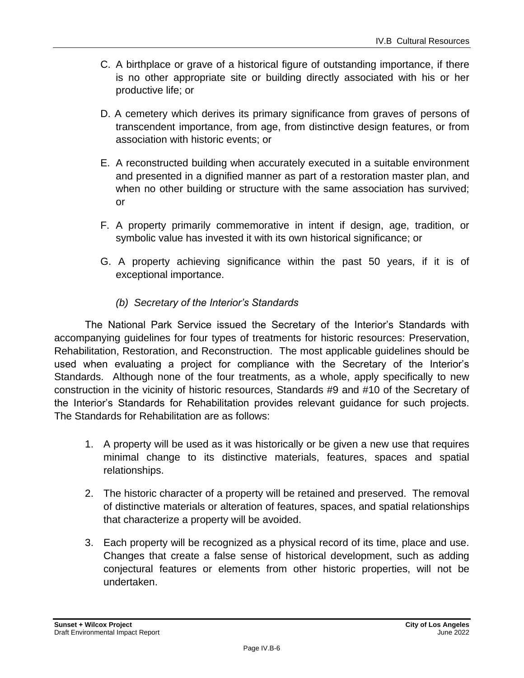- C. A birthplace or grave of a historical figure of outstanding importance, if there is no other appropriate site or building directly associated with his or her productive life; or
- D. A cemetery which derives its primary significance from graves of persons of transcendent importance, from age, from distinctive design features, or from association with historic events; or
- E. A reconstructed building when accurately executed in a suitable environment and presented in a dignified manner as part of a restoration master plan, and when no other building or structure with the same association has survived; or
- F. A property primarily commemorative in intent if design, age, tradition, or symbolic value has invested it with its own historical significance; or
- G. A property achieving significance within the past 50 years, if it is of exceptional importance.
	- *(b) Secretary of the Interior's Standards*

The National Park Service issued the Secretary of the Interior's Standards with accompanying guidelines for four types of treatments for historic resources: Preservation, Rehabilitation, Restoration, and Reconstruction. The most applicable guidelines should be used when evaluating a project for compliance with the Secretary of the Interior's Standards. Although none of the four treatments, as a whole, apply specifically to new construction in the vicinity of historic resources, Standards #9 and #10 of the Secretary of the Interior's Standards for Rehabilitation provides relevant guidance for such projects. The Standards for Rehabilitation are as follows:

- 1. A property will be used as it was historically or be given a new use that requires minimal change to its distinctive materials, features, spaces and spatial relationships.
- 2. The historic character of a property will be retained and preserved. The removal of distinctive materials or alteration of features, spaces, and spatial relationships that characterize a property will be avoided.
- 3. Each property will be recognized as a physical record of its time, place and use. Changes that create a false sense of historical development, such as adding conjectural features or elements from other historic properties, will not be undertaken.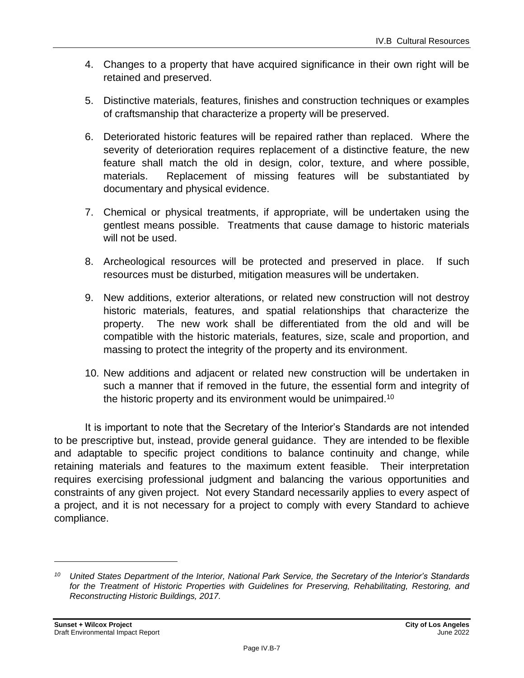- 4. Changes to a property that have acquired significance in their own right will be retained and preserved.
- 5. Distinctive materials, features, finishes and construction techniques or examples of craftsmanship that characterize a property will be preserved.
- 6. Deteriorated historic features will be repaired rather than replaced. Where the severity of deterioration requires replacement of a distinctive feature, the new feature shall match the old in design, color, texture, and where possible, materials. Replacement of missing features will be substantiated by documentary and physical evidence.
- 7. Chemical or physical treatments, if appropriate, will be undertaken using the gentlest means possible. Treatments that cause damage to historic materials will not be used.
- 8. Archeological resources will be protected and preserved in place. If such resources must be disturbed, mitigation measures will be undertaken.
- 9. New additions, exterior alterations, or related new construction will not destroy historic materials, features, and spatial relationships that characterize the property. The new work shall be differentiated from the old and will be compatible with the historic materials, features, size, scale and proportion, and massing to protect the integrity of the property and its environment.
- 10. New additions and adjacent or related new construction will be undertaken in such a manner that if removed in the future, the essential form and integrity of the historic property and its environment would be unimpaired.<sup>10</sup>

It is important to note that the Secretary of the Interior's Standards are not intended to be prescriptive but, instead, provide general guidance. They are intended to be flexible and adaptable to specific project conditions to balance continuity and change, while retaining materials and features to the maximum extent feasible. Their interpretation requires exercising professional judgment and balancing the various opportunities and constraints of any given project. Not every Standard necessarily applies to every aspect of a project, and it is not necessary for a project to comply with every Standard to achieve compliance.

*<sup>10</sup> United States Department of the Interior, National Park Service, the Secretary of the Interior's Standards for the Treatment of Historic Properties with Guidelines for Preserving, Rehabilitating, Restoring, and Reconstructing Historic Buildings, 2017.*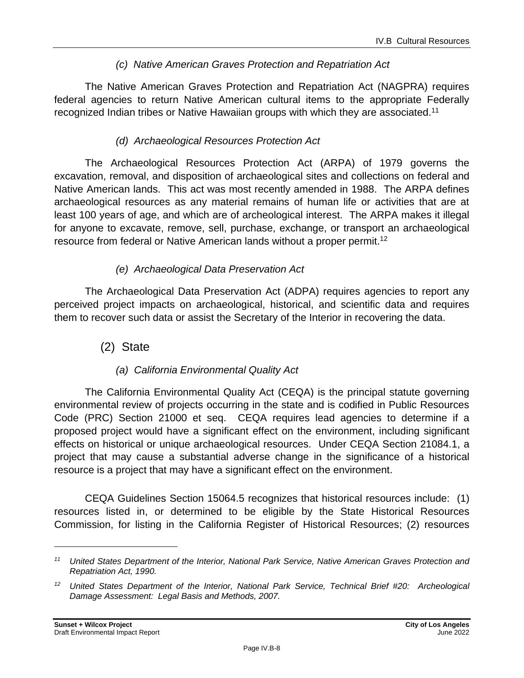### *(c) Native American Graves Protection and Repatriation Act*

The Native American Graves Protection and Repatriation Act (NAGPRA) requires federal agencies to return Native American cultural items to the appropriate Federally recognized Indian tribes or Native Hawaiian groups with which they are associated.<sup>11</sup>

### *(d) Archaeological Resources Protection Act*

The Archaeological Resources Protection Act (ARPA) of 1979 governs the excavation, removal, and disposition of archaeological sites and collections on federal and Native American lands. This act was most recently amended in 1988. The ARPA defines archaeological resources as any material remains of human life or activities that are at least 100 years of age, and which are of archeological interest. The ARPA makes it illegal for anyone to excavate, remove, sell, purchase, exchange, or transport an archaeological resource from federal or Native American lands without a proper permit.<sup>12</sup>

### *(e) Archaeological Data Preservation Act*

The Archaeological Data Preservation Act (ADPA) requires agencies to report any perceived project impacts on archaeological, historical, and scientific data and requires them to recover such data or assist the Secretary of the Interior in recovering the data.

### (2) State

### *(a) California Environmental Quality Act*

The California Environmental Quality Act (CEQA) is the principal statute governing environmental review of projects occurring in the state and is codified in Public Resources Code (PRC) Section 21000 et seq. CEQA requires lead agencies to determine if a proposed project would have a significant effect on the environment, including significant effects on historical or unique archaeological resources. Under CEQA Section 21084.1, a project that may cause a substantial adverse change in the significance of a historical resource is a project that may have a significant effect on the environment.

CEQA Guidelines Section 15064.5 recognizes that historical resources include: (1) resources listed in, or determined to be eligible by the State Historical Resources Commission, for listing in the California Register of Historical Resources; (2) resources

*<sup>11</sup> United States Department of the Interior, National Park Service, Native American Graves Protection and Repatriation Act, 1990.*

*<sup>12</sup> United States Department of the Interior, National Park Service, Technical Brief #20: Archeological Damage Assessment: Legal Basis and Methods, 2007.*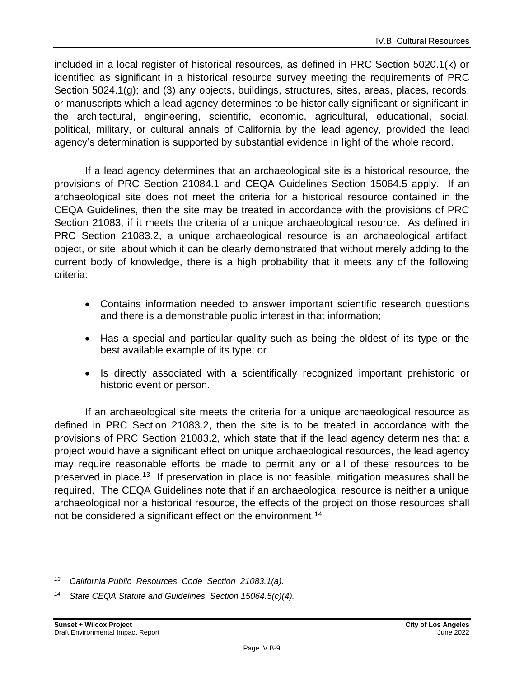included in a local register of historical resources, as defined in PRC Section 5020.1(k) or identified as significant in a historical resource survey meeting the requirements of PRC Section 5024.1(g); and (3) any objects, buildings, structures, sites, areas, places, records, or manuscripts which a lead agency determines to be historically significant or significant in the architectural, engineering, scientific, economic, agricultural, educational, social, political, military, or cultural annals of California by the lead agency, provided the lead agency's determination is supported by substantial evidence in light of the whole record.

If a lead agency determines that an archaeological site is a historical resource, the provisions of PRC Section 21084.1 and CEQA Guidelines Section 15064.5 apply. If an archaeological site does not meet the criteria for a historical resource contained in the CEQA Guidelines, then the site may be treated in accordance with the provisions of PRC Section 21083, if it meets the criteria of a unique archaeological resource. As defined in PRC Section 21083.2, a unique archaeological resource is an archaeological artifact, object, or site, about which it can be clearly demonstrated that without merely adding to the current body of knowledge, there is a high probability that it meets any of the following criteria:

- Contains information needed to answer important scientific research questions and there is a demonstrable public interest in that information;
- Has a special and particular quality such as being the oldest of its type or the best available example of its type; or
- Is directly associated with a scientifically recognized important prehistoric or historic event or person.

If an archaeological site meets the criteria for a unique archaeological resource as defined in PRC Section 21083.2, then the site is to be treated in accordance with the provisions of PRC Section 21083.2, which state that if the lead agency determines that a project would have a significant effect on unique archaeological resources, the lead agency may require reasonable efforts be made to permit any or all of these resources to be preserved in place.<sup>13</sup> If preservation in place is not feasible, mitigation measures shall be required. The CEQA Guidelines note that if an archaeological resource is neither a unique archaeological nor a historical resource, the effects of the project on those resources shall not be considered a significant effect on the environment.<sup>14</sup>

*<sup>13</sup> California Public Resources Code Section 21083.1(a).*

*<sup>14</sup> State CEQA Statute and Guidelines, Section 15064.5(c)(4).*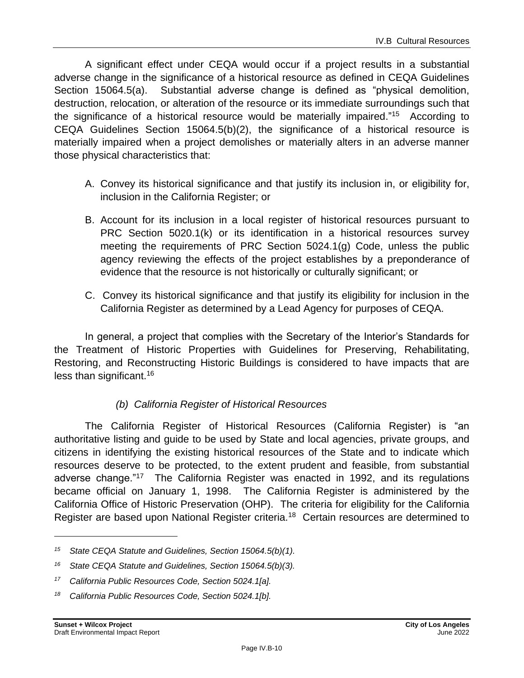A significant effect under CEQA would occur if a project results in a substantial adverse change in the significance of a historical resource as defined in CEQA Guidelines Section 15064.5(a). Substantial adverse change is defined as "physical demolition, destruction, relocation, or alteration of the resource or its immediate surroundings such that the significance of a historical resource would be materially impaired."<sup>15</sup> According to CEQA Guidelines Section 15064.5(b)(2), the significance of a historical resource is materially impaired when a project demolishes or materially alters in an adverse manner those physical characteristics that:

- A. Convey its historical significance and that justify its inclusion in, or eligibility for, inclusion in the California Register; or
- B. Account for its inclusion in a local register of historical resources pursuant to PRC Section 5020.1(k) or its identification in a historical resources survey meeting the requirements of PRC Section 5024.1(g) Code, unless the public agency reviewing the effects of the project establishes by a preponderance of evidence that the resource is not historically or culturally significant; or
- C. Convey its historical significance and that justify its eligibility for inclusion in the California Register as determined by a Lead Agency for purposes of CEQA.

In general, a project that complies with the Secretary of the Interior's Standards for the Treatment of Historic Properties with Guidelines for Preserving, Rehabilitating, Restoring, and Reconstructing Historic Buildings is considered to have impacts that are less than significant.<sup>16</sup>

### *(b) California Register of Historical Resources*

The California Register of Historical Resources (California Register) is "an authoritative listing and guide to be used by State and local agencies, private groups, and citizens in identifying the existing historical resources of the State and to indicate which resources deserve to be protected, to the extent prudent and feasible, from substantial adverse change."<sup>17</sup> The California Register was enacted in 1992, and its regulations became official on January 1, 1998. The California Register is administered by the California Office of Historic Preservation (OHP). The criteria for eligibility for the California Register are based upon National Register criteria.<sup>18</sup> Certain resources are determined to

*<sup>15</sup> State CEQA Statute and Guidelines, Section 15064.5(b)(1).*

*<sup>16</sup> State CEQA Statute and Guidelines, Section 15064.5(b)(3).*

*<sup>17</sup> California Public Resources Code, Section 5024.1[a].*

*<sup>18</sup> California Public Resources Code, Section 5024.1[b].*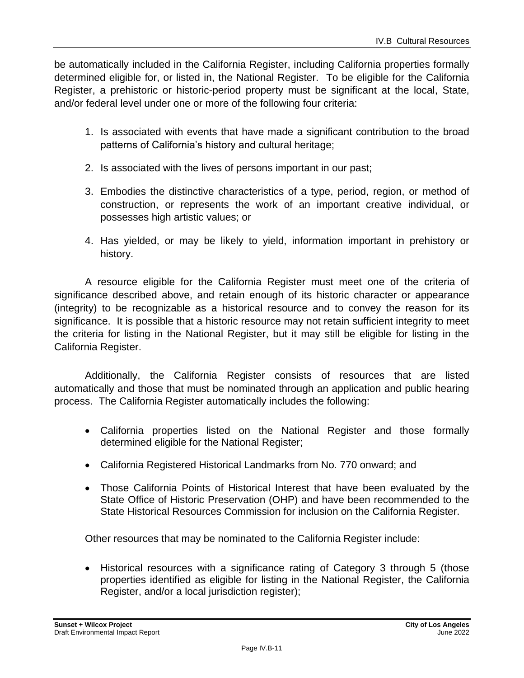be automatically included in the California Register, including California properties formally determined eligible for, or listed in, the National Register. To be eligible for the California Register, a prehistoric or historic-period property must be significant at the local, State, and/or federal level under one or more of the following four criteria:

- 1. Is associated with events that have made a significant contribution to the broad patterns of California's history and cultural heritage;
- 2. Is associated with the lives of persons important in our past;
- 3. Embodies the distinctive characteristics of a type, period, region, or method of construction, or represents the work of an important creative individual, or possesses high artistic values; or
- 4. Has yielded, or may be likely to yield, information important in prehistory or history.

A resource eligible for the California Register must meet one of the criteria of significance described above, and retain enough of its historic character or appearance (integrity) to be recognizable as a historical resource and to convey the reason for its significance. It is possible that a historic resource may not retain sufficient integrity to meet the criteria for listing in the National Register, but it may still be eligible for listing in the California Register.

Additionally, the California Register consists of resources that are listed automatically and those that must be nominated through an application and public hearing process. The California Register automatically includes the following:

- California properties listed on the National Register and those formally determined eligible for the National Register;
- California Registered Historical Landmarks from No. 770 onward; and
- Those California Points of Historical Interest that have been evaluated by the State Office of Historic Preservation (OHP) and have been recommended to the State Historical Resources Commission for inclusion on the California Register.

Other resources that may be nominated to the California Register include:

• Historical resources with a significance rating of Category 3 through 5 (those properties identified as eligible for listing in the National Register, the California Register, and/or a local jurisdiction register);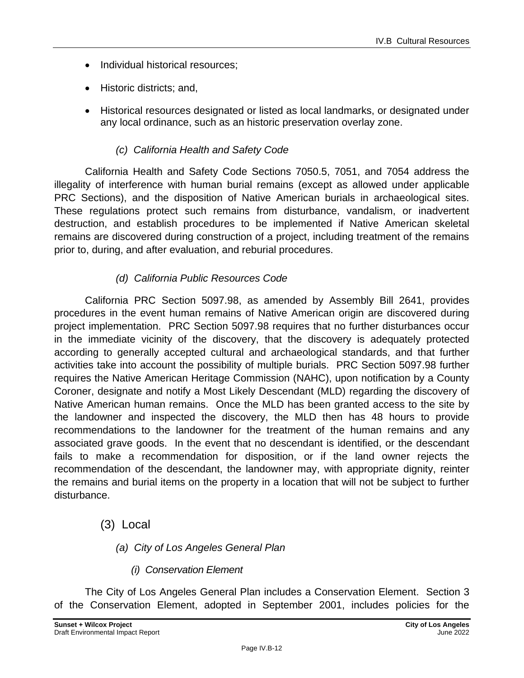- Individual historical resources:
- Historic districts; and,
- Historical resources designated or listed as local landmarks, or designated under any local ordinance, such as an historic preservation overlay zone.

### *(c) California Health and Safety Code*

California Health and Safety Code Sections 7050.5, 7051, and 7054 address the illegality of interference with human burial remains (except as allowed under applicable PRC Sections), and the disposition of Native American burials in archaeological sites. These regulations protect such remains from disturbance, vandalism, or inadvertent destruction, and establish procedures to be implemented if Native American skeletal remains are discovered during construction of a project, including treatment of the remains prior to, during, and after evaluation, and reburial procedures.

### *(d) California Public Resources Code*

California PRC Section 5097.98, as amended by Assembly Bill 2641, provides procedures in the event human remains of Native American origin are discovered during project implementation. PRC Section 5097.98 requires that no further disturbances occur in the immediate vicinity of the discovery, that the discovery is adequately protected according to generally accepted cultural and archaeological standards, and that further activities take into account the possibility of multiple burials. PRC Section 5097.98 further requires the Native American Heritage Commission (NAHC), upon notification by a County Coroner, designate and notify a Most Likely Descendant (MLD) regarding the discovery of Native American human remains. Once the MLD has been granted access to the site by the landowner and inspected the discovery, the MLD then has 48 hours to provide recommendations to the landowner for the treatment of the human remains and any associated grave goods. In the event that no descendant is identified, or the descendant fails to make a recommendation for disposition, or if the land owner rejects the recommendation of the descendant, the landowner may, with appropriate dignity, reinter the remains and burial items on the property in a location that will not be subject to further disturbance.

### (3) Local

- *(a) City of Los Angeles General Plan*
	- *(i) Conservation Element*

The City of Los Angeles General Plan includes a Conservation Element. Section 3 of the Conservation Element, adopted in September 2001, includes policies for the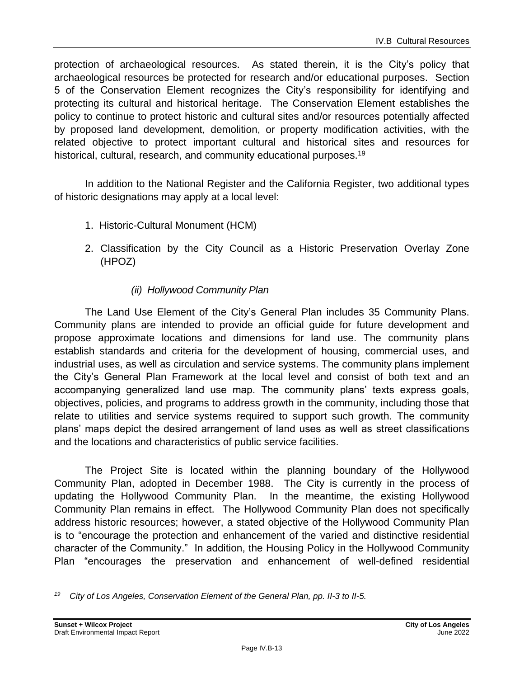protection of archaeological resources. As stated therein, it is the City's policy that archaeological resources be protected for research and/or educational purposes. Section 5 of the Conservation Element recognizes the City's responsibility for identifying and protecting its cultural and historical heritage. The Conservation Element establishes the policy to continue to protect historic and cultural sites and/or resources potentially affected by proposed land development, demolition, or property modification activities, with the related objective to protect important cultural and historical sites and resources for historical, cultural, research, and community educational purposes.<sup>19</sup>

In addition to the National Register and the California Register, two additional types of historic designations may apply at a local level:

- 1. Historic-Cultural Monument (HCM)
- 2. Classification by the City Council as a Historic Preservation Overlay Zone (HPOZ)

### *(ii) Hollywood Community Plan*

The Land Use Element of the City's General Plan includes 35 Community Plans. Community plans are intended to provide an official guide for future development and propose approximate locations and dimensions for land use. The community plans establish standards and criteria for the development of housing, commercial uses, and industrial uses, as well as circulation and service systems. The community plans implement the City's General Plan Framework at the local level and consist of both text and an accompanying generalized land use map. The community plans' texts express goals, objectives, policies, and programs to address growth in the community, including those that relate to utilities and service systems required to support such growth. The community plans' maps depict the desired arrangement of land uses as well as street classifications and the locations and characteristics of public service facilities.

The Project Site is located within the planning boundary of the Hollywood Community Plan, adopted in December 1988. The City is currently in the process of updating the Hollywood Community Plan. In the meantime, the existing Hollywood Community Plan remains in effect. The Hollywood Community Plan does not specifically address historic resources; however, a stated objective of the Hollywood Community Plan is to "encourage the protection and enhancement of the varied and distinctive residential character of the Community." In addition, the Housing Policy in the Hollywood Community Plan "encourages the preservation and enhancement of well-defined residential

*<sup>19</sup> City of Los Angeles, Conservation Element of the General Plan, pp. II-3 to II-5.*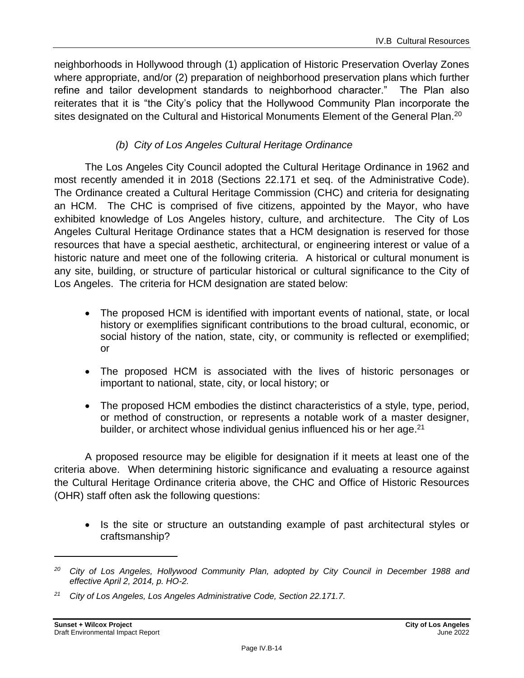neighborhoods in Hollywood through (1) application of Historic Preservation Overlay Zones where appropriate, and/or (2) preparation of neighborhood preservation plans which further refine and tailor development standards to neighborhood character." The Plan also reiterates that it is "the City's policy that the Hollywood Community Plan incorporate the sites designated on the Cultural and Historical Monuments Element of the General Plan.<sup>20</sup>

### *(b) City of Los Angeles Cultural Heritage Ordinance*

The Los Angeles City Council adopted the Cultural Heritage Ordinance in 1962 and most recently amended it in 2018 (Sections 22.171 et seq. of the Administrative Code). The Ordinance created a Cultural Heritage Commission (CHC) and criteria for designating an HCM. The CHC is comprised of five citizens, appointed by the Mayor, who have exhibited knowledge of Los Angeles history, culture, and architecture. The City of Los Angeles Cultural Heritage Ordinance states that a HCM designation is reserved for those resources that have a special aesthetic, architectural, or engineering interest or value of a historic nature and meet one of the following criteria. A historical or cultural monument is any site, building, or structure of particular historical or cultural significance to the City of Los Angeles. The criteria for HCM designation are stated below:

- The proposed HCM is identified with important events of national, state, or local history or exemplifies significant contributions to the broad cultural, economic, or social history of the nation, state, city, or community is reflected or exemplified; or
- The proposed HCM is associated with the lives of historic personages or important to national, state, city, or local history; or
- The proposed HCM embodies the distinct characteristics of a style, type, period, or method of construction, or represents a notable work of a master designer, builder, or architect whose individual genius influenced his or her age.<sup>21</sup>

A proposed resource may be eligible for designation if it meets at least one of the criteria above. When determining historic significance and evaluating a resource against the Cultural Heritage Ordinance criteria above, the CHC and Office of Historic Resources (OHR) staff often ask the following questions:

• Is the site or structure an outstanding example of past architectural styles or craftsmanship?

*<sup>20</sup> City of Los Angeles, Hollywood Community Plan, adopted by City Council in December 1988 and effective April 2, 2014, p. HO-2.*

*<sup>21</sup> City of Los Angeles, Los Angeles Administrative Code, Section 22.171.7.*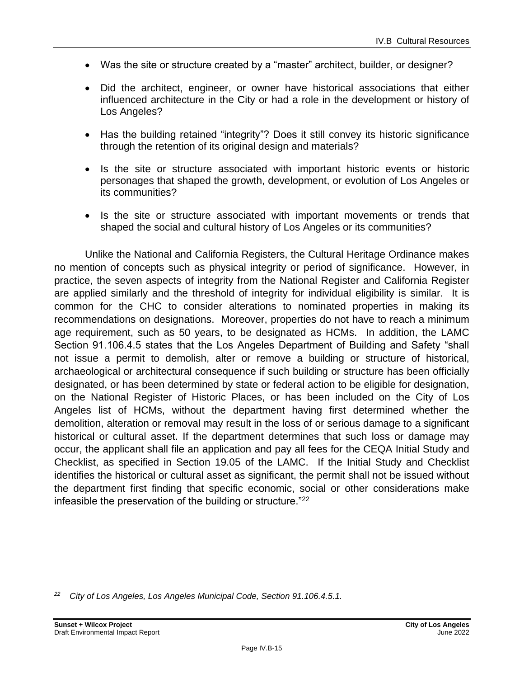- Was the site or structure created by a "master" architect, builder, or designer?
- Did the architect, engineer, or owner have historical associations that either influenced architecture in the City or had a role in the development or history of Los Angeles?
- Has the building retained "integrity"? Does it still convey its historic significance through the retention of its original design and materials?
- Is the site or structure associated with important historic events or historic personages that shaped the growth, development, or evolution of Los Angeles or its communities?
- Is the site or structure associated with important movements or trends that shaped the social and cultural history of Los Angeles or its communities?

Unlike the National and California Registers, the Cultural Heritage Ordinance makes no mention of concepts such as physical integrity or period of significance. However, in practice, the seven aspects of integrity from the National Register and California Register are applied similarly and the threshold of integrity for individual eligibility is similar. It is common for the CHC to consider alterations to nominated properties in making its recommendations on designations. Moreover, properties do not have to reach a minimum age requirement, such as 50 years, to be designated as HCMs. In addition, the LAMC Section 91.106.4.5 states that the Los Angeles Department of Building and Safety "shall not issue a permit to demolish, alter or remove a building or structure of historical, archaeological or architectural consequence if such building or structure has been officially designated, or has been determined by state or federal action to be eligible for designation, on the National Register of Historic Places, or has been included on the City of Los Angeles list of HCMs, without the department having first determined whether the demolition, alteration or removal may result in the loss of or serious damage to a significant historical or cultural asset. If the department determines that such loss or damage may occur, the applicant shall file an application and pay all fees for the CEQA Initial Study and Checklist, as specified in Section 19.05 of the LAMC. If the Initial Study and Checklist identifies the historical or cultural asset as significant, the permit shall not be issued without the department first finding that specific economic, social or other considerations make infeasible the preservation of the building or structure."<sup>22</sup>

*<sup>22</sup> City of Los Angeles, Los Angeles Municipal Code, Section 91.106.4.5.1.*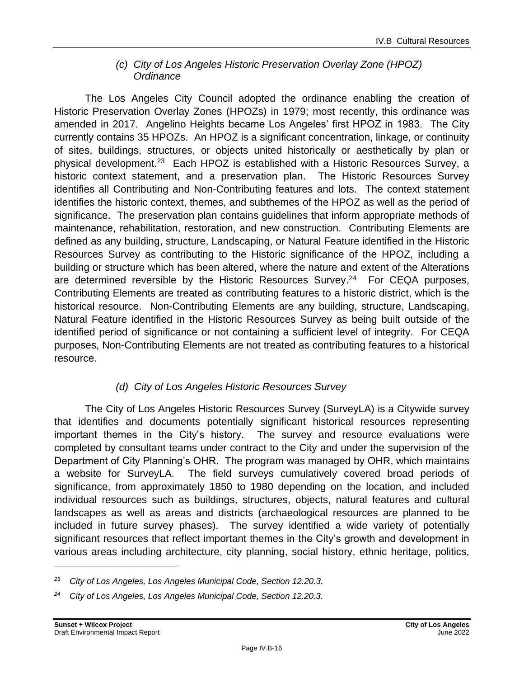### *(c) City of Los Angeles Historic Preservation Overlay Zone (HPOZ) Ordinance*

The Los Angeles City Council adopted the ordinance enabling the creation of Historic Preservation Overlay Zones (HPOZs) in 1979; most recently, this ordinance was amended in 2017. Angelino Heights became Los Angeles' first HPOZ in 1983. The City currently contains 35 HPOZs. An HPOZ is a significant concentration, linkage, or continuity of sites, buildings, structures, or objects united historically or aesthetically by plan or physical development.<sup>23</sup> Each HPOZ is established with a Historic Resources Survey, a historic context statement, and a preservation plan. The Historic Resources Survey identifies all Contributing and Non-Contributing features and lots. The context statement identifies the historic context, themes, and subthemes of the HPOZ as well as the period of significance. The preservation plan contains guidelines that inform appropriate methods of maintenance, rehabilitation, restoration, and new construction. Contributing Elements are defined as any building, structure, Landscaping, or Natural Feature identified in the Historic Resources Survey as contributing to the Historic significance of the HPOZ, including a building or structure which has been altered, where the nature and extent of the Alterations are determined reversible by the Historic Resources Survey.<sup>24</sup> For CEQA purposes, Contributing Elements are treated as contributing features to a historic district, which is the historical resource. Non-Contributing Elements are any building, structure, Landscaping, Natural Feature identified in the Historic Resources Survey as being built outside of the identified period of significance or not containing a sufficient level of integrity. For CEQA purposes, Non-Contributing Elements are not treated as contributing features to a historical resource.

### *(d) City of Los Angeles Historic Resources Survey*

The City of Los Angeles Historic Resources Survey (SurveyLA) is a Citywide survey that identifies and documents potentially significant historical resources representing important themes in the City's history. The survey and resource evaluations were completed by consultant teams under contract to the City and under the supervision of the Department of City Planning's OHR. The program was managed by OHR, which maintains a website for SurveyLA. The field surveys cumulatively covered broad periods of significance, from approximately 1850 to 1980 depending on the location, and included individual resources such as buildings, structures, objects, natural features and cultural landscapes as well as areas and districts (archaeological resources are planned to be included in future survey phases). The survey identified a wide variety of potentially significant resources that reflect important themes in the City's growth and development in various areas including architecture, city planning, social history, ethnic heritage, politics,

*<sup>23</sup> City of Los Angeles, Los Angeles Municipal Code, Section 12.20.3.*

*<sup>24</sup> City of Los Angeles, Los Angeles Municipal Code, Section 12.20.3.*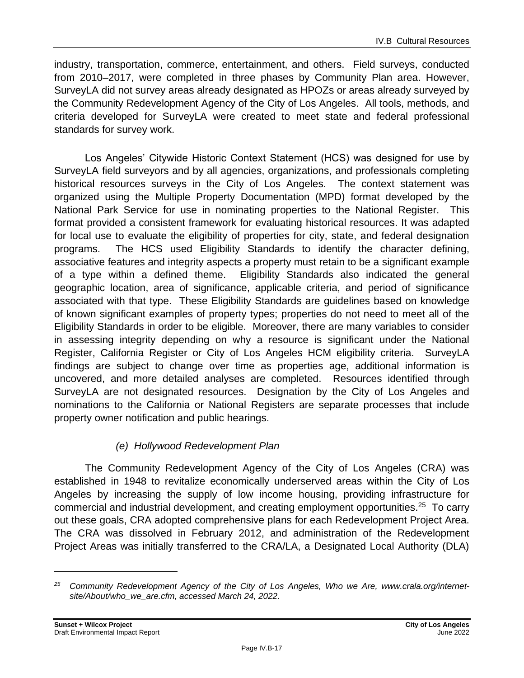industry, transportation, commerce, entertainment, and others. Field surveys, conducted from 2010–2017, were completed in three phases by Community Plan area. However, SurveyLA did not survey areas already designated as HPOZs or areas already surveyed by the Community Redevelopment Agency of the City of Los Angeles. All tools, methods, and criteria developed for SurveyLA were created to meet state and federal professional standards for survey work.

Los Angeles' Citywide Historic Context Statement (HCS) was designed for use by SurveyLA field surveyors and by all agencies, organizations, and professionals completing historical resources surveys in the City of Los Angeles. The context statement was organized using the Multiple Property Documentation (MPD) format developed by the National Park Service for use in nominating properties to the National Register. This format provided a consistent framework for evaluating historical resources. It was adapted for local use to evaluate the eligibility of properties for city, state, and federal designation programs. The HCS used Eligibility Standards to identify the character defining, associative features and integrity aspects a property must retain to be a significant example of a type within a defined theme. Eligibility Standards also indicated the general geographic location, area of significance, applicable criteria, and period of significance associated with that type. These Eligibility Standards are guidelines based on knowledge of known significant examples of property types; properties do not need to meet all of the Eligibility Standards in order to be eligible. Moreover, there are many variables to consider in assessing integrity depending on why a resource is significant under the National Register, California Register or City of Los Angeles HCM eligibility criteria. SurveyLA findings are subject to change over time as properties age, additional information is uncovered, and more detailed analyses are completed. Resources identified through SurveyLA are not designated resources. Designation by the City of Los Angeles and nominations to the California or National Registers are separate processes that include property owner notification and public hearings.

### *(e) Hollywood Redevelopment Plan*

The Community Redevelopment Agency of the City of Los Angeles (CRA) was established in 1948 to revitalize economically underserved areas within the City of Los Angeles by increasing the supply of low income housing, providing infrastructure for commercial and industrial development, and creating employment opportunities.<sup>25</sup> To carry out these goals, CRA adopted comprehensive plans for each Redevelopment Project Area. The CRA was dissolved in February 2012, and administration of the Redevelopment Project Areas was initially transferred to the CRA/LA, a Designated Local Authority (DLA)

*<sup>25</sup> Community Redevelopment Agency of the City of Los Angeles, Who we Are, www.crala.org/internetsite/About/who\_we\_are.cfm, accessed March 24, 2022.*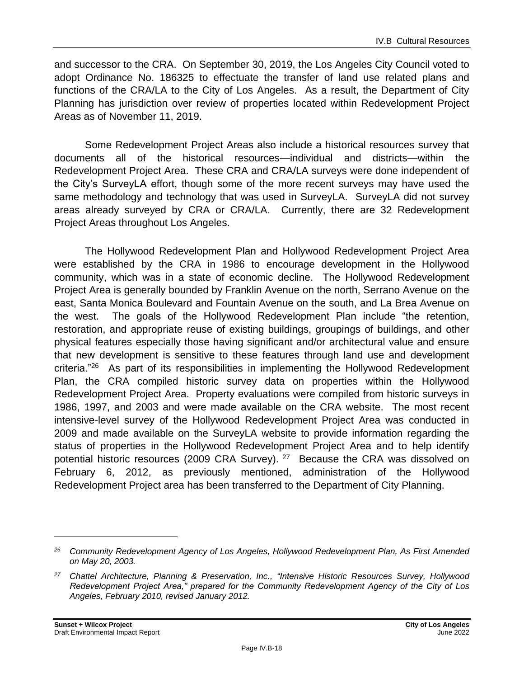and successor to the CRA. On September 30, 2019, the Los Angeles City Council voted to adopt Ordinance No. 186325 to effectuate the transfer of land use related plans and functions of the CRA/LA to the City of Los Angeles. As a result, the Department of City Planning has jurisdiction over review of properties located within Redevelopment Project Areas as of November 11, 2019.

Some Redevelopment Project Areas also include a historical resources survey that documents all of the historical resources—individual and districts—within the Redevelopment Project Area. These CRA and CRA/LA surveys were done independent of the City's SurveyLA effort, though some of the more recent surveys may have used the same methodology and technology that was used in SurveyLA. SurveyLA did not survey areas already surveyed by CRA or CRA/LA. Currently, there are 32 Redevelopment Project Areas throughout Los Angeles.

The Hollywood Redevelopment Plan and Hollywood Redevelopment Project Area were established by the CRA in 1986 to encourage development in the Hollywood community, which was in a state of economic decline. The Hollywood Redevelopment Project Area is generally bounded by Franklin Avenue on the north, Serrano Avenue on the east, Santa Monica Boulevard and Fountain Avenue on the south, and La Brea Avenue on the west. The goals of the Hollywood Redevelopment Plan include "the retention, restoration, and appropriate reuse of existing buildings, groupings of buildings, and other physical features especially those having significant and/or architectural value and ensure that new development is sensitive to these features through land use and development criteria."<sup>26</sup> As part of its responsibilities in implementing the Hollywood Redevelopment Plan, the CRA compiled historic survey data on properties within the Hollywood Redevelopment Project Area. Property evaluations were compiled from historic surveys in 1986, 1997, and 2003 and were made available on the CRA website. The most recent intensive-level survey of the Hollywood Redevelopment Project Area was conducted in 2009 and made available on the SurveyLA website to provide information regarding the status of properties in the Hollywood Redevelopment Project Area and to help identify potential historic resources (2009 CRA Survey). <sup>27</sup> Because the CRA was dissolved on February 6, 2012, as previously mentioned, administration of the Hollywood Redevelopment Project area has been transferred to the Department of City Planning.

*<sup>26</sup> Community Redevelopment Agency of Los Angeles, Hollywood Redevelopment Plan, As First Amended on May 20, 2003.*

*<sup>27</sup> Chattel Architecture, Planning & Preservation, Inc., "Intensive Historic Resources Survey, Hollywood Redevelopment Project Area," prepared for the Community Redevelopment Agency of the City of Los Angeles, February 2010, revised January 2012.*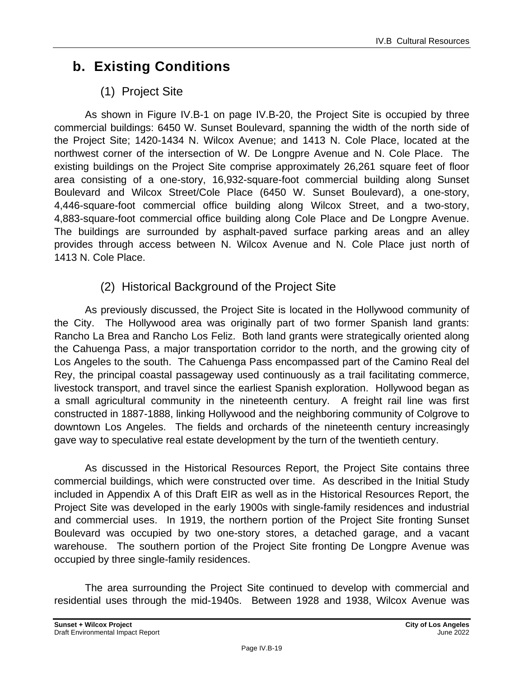# **b. Existing Conditions**

## (1) Project Site

As shown in Figure IV.B-1 on page IV.B-20, the Project Site is occupied by three commercial buildings: 6450 W. Sunset Boulevard, spanning the width of the north side of the Project Site; 1420-1434 N. Wilcox Avenue; and 1413 N. Cole Place, located at the northwest corner of the intersection of W. De Longpre Avenue and N. Cole Place. The existing buildings on the Project Site comprise approximately 26,261 square feet of floor area consisting of a one-story, 16,932-square-foot commercial building along Sunset Boulevard and Wilcox Street/Cole Place (6450 W. Sunset Boulevard), a one-story, 4,446-square-foot commercial office building along Wilcox Street, and a two-story, 4,883-square-foot commercial office building along Cole Place and De Longpre Avenue. The buildings are surrounded by asphalt-paved surface parking areas and an alley provides through access between N. Wilcox Avenue and N. Cole Place just north of 1413 N. Cole Place.

### (2) Historical Background of the Project Site

As previously discussed, the Project Site is located in the Hollywood community of the City. The Hollywood area was originally part of two former Spanish land grants: Rancho La Brea and Rancho Los Feliz. Both land grants were strategically oriented along the Cahuenga Pass, a major transportation corridor to the north, and the growing city of Los Angeles to the south. The Cahuenga Pass encompassed part of the Camino Real del Rey, the principal coastal passageway used continuously as a trail facilitating commerce, livestock transport, and travel since the earliest Spanish exploration. Hollywood began as a small agricultural community in the nineteenth century. A freight rail line was first constructed in 1887-1888, linking Hollywood and the neighboring community of Colgrove to downtown Los Angeles. The fields and orchards of the nineteenth century increasingly gave way to speculative real estate development by the turn of the twentieth century.

As discussed in the Historical Resources Report, the Project Site contains three commercial buildings, which were constructed over time. As described in the Initial Study included in Appendix A of this Draft EIR as well as in the Historical Resources Report, the Project Site was developed in the early 1900s with single-family residences and industrial and commercial uses. In 1919, the northern portion of the Project Site fronting Sunset Boulevard was occupied by two one-story stores, a detached garage, and a vacant warehouse. The southern portion of the Project Site fronting De Longpre Avenue was occupied by three single-family residences.

The area surrounding the Project Site continued to develop with commercial and residential uses through the mid-1940s. Between 1928 and 1938, Wilcox Avenue was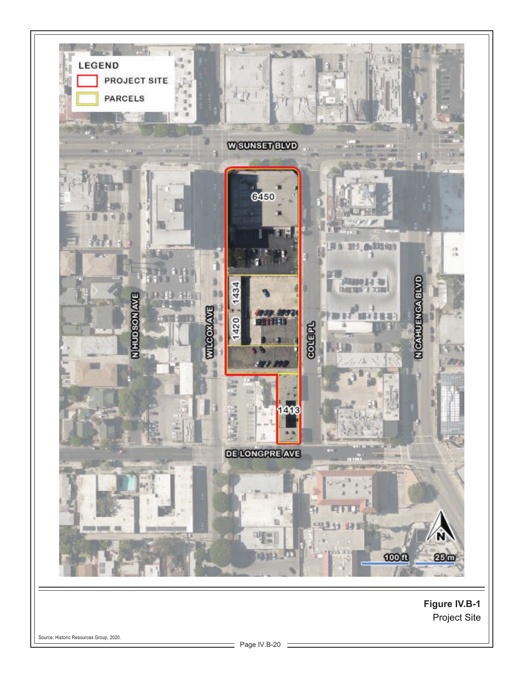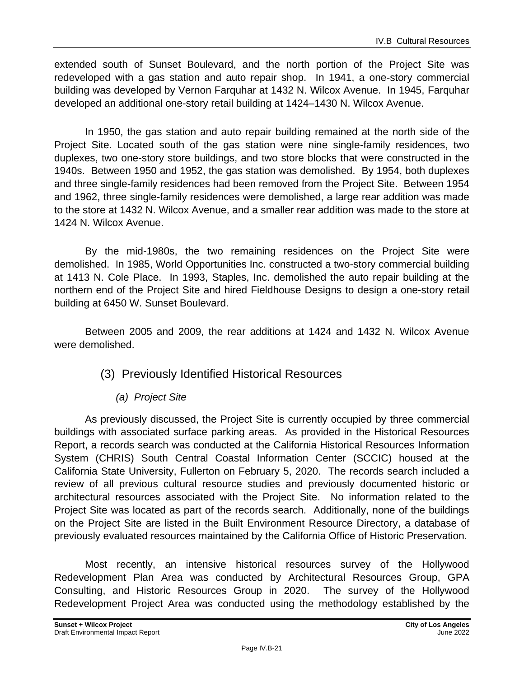extended south of Sunset Boulevard, and the north portion of the Project Site was redeveloped with a gas station and auto repair shop. In 1941, a one-story commercial building was developed by Vernon Farquhar at 1432 N. Wilcox Avenue. In 1945, Farquhar developed an additional one-story retail building at 1424–1430 N. Wilcox Avenue.

In 1950, the gas station and auto repair building remained at the north side of the Project Site. Located south of the gas station were nine single-family residences, two duplexes, two one-story store buildings, and two store blocks that were constructed in the 1940s. Between 1950 and 1952, the gas station was demolished. By 1954, both duplexes and three single-family residences had been removed from the Project Site. Between 1954 and 1962, three single-family residences were demolished, a large rear addition was made to the store at 1432 N. Wilcox Avenue, and a smaller rear addition was made to the store at 1424 N. Wilcox Avenue.

By the mid-1980s, the two remaining residences on the Project Site were demolished. In 1985, World Opportunities Inc. constructed a two-story commercial building at 1413 N. Cole Place. In 1993, Staples, Inc. demolished the auto repair building at the northern end of the Project Site and hired Fieldhouse Designs to design a one-story retail building at 6450 W. Sunset Boulevard.

Between 2005 and 2009, the rear additions at 1424 and 1432 N. Wilcox Avenue were demolished.

- (3) Previously Identified Historical Resources
	- *(a) Project Site*

As previously discussed, the Project Site is currently occupied by three commercial buildings with associated surface parking areas. As provided in the Historical Resources Report, a records search was conducted at the California Historical Resources Information System (CHRIS) South Central Coastal Information Center (SCCIC) housed at the California State University, Fullerton on February 5, 2020. The records search included a review of all previous cultural resource studies and previously documented historic or architectural resources associated with the Project Site. No information related to the Project Site was located as part of the records search. Additionally, none of the buildings on the Project Site are listed in the Built Environment Resource Directory, a database of previously evaluated resources maintained by the California Office of Historic Preservation.

Most recently, an intensive historical resources survey of the Hollywood Redevelopment Plan Area was conducted by Architectural Resources Group, GPA Consulting, and Historic Resources Group in 2020. The survey of the Hollywood Redevelopment Project Area was conducted using the methodology established by the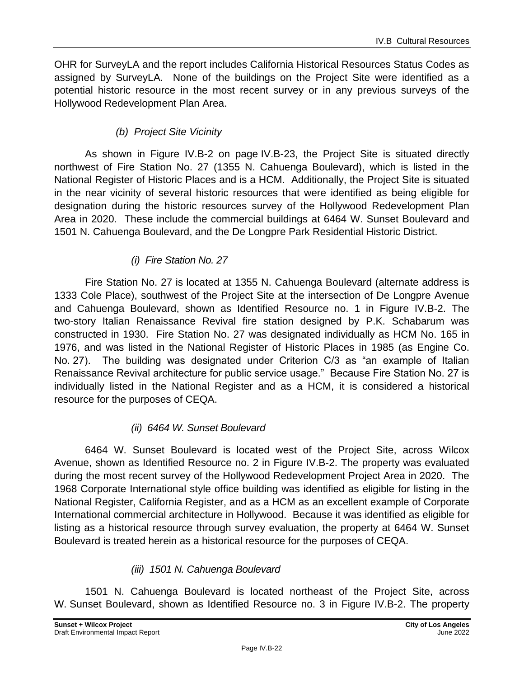OHR for SurveyLA and the report includes California Historical Resources Status Codes as assigned by SurveyLA. None of the buildings on the Project Site were identified as a potential historic resource in the most recent survey or in any previous surveys of the Hollywood Redevelopment Plan Area.

### *(b) Project Site Vicinity*

As shown in Figure IV.B-2 on page IV.B-23, the Project Site is situated directly northwest of Fire Station No. 27 (1355 N. Cahuenga Boulevard), which is listed in the National Register of Historic Places and is a HCM. Additionally, the Project Site is situated in the near vicinity of several historic resources that were identified as being eligible for designation during the historic resources survey of the Hollywood Redevelopment Plan Area in 2020. These include the commercial buildings at 6464 W. Sunset Boulevard and 1501 N. Cahuenga Boulevard, and the De Longpre Park Residential Historic District.

### *(i) Fire Station No. 27*

Fire Station No. 27 is located at 1355 N. Cahuenga Boulevard (alternate address is 1333 Cole Place), southwest of the Project Site at the intersection of De Longpre Avenue and Cahuenga Boulevard, shown as Identified Resource no. 1 in Figure IV.B-2. The two-story Italian Renaissance Revival fire station designed by P.K. Schabarum was constructed in 1930. Fire Station No. 27 was designated individually as HCM No. 165 in 1976, and was listed in the National Register of Historic Places in 1985 (as Engine Co. No. 27). The building was designated under Criterion C/3 as "an example of Italian Renaissance Revival architecture for public service usage." Because Fire Station No. 27 is individually listed in the National Register and as a HCM, it is considered a historical resource for the purposes of CEQA.

### *(ii) 6464 W. Sunset Boulevard*

6464 W. Sunset Boulevard is located west of the Project Site, across Wilcox Avenue, shown as Identified Resource no. 2 in Figure IV.B-2. The property was evaluated during the most recent survey of the Hollywood Redevelopment Project Area in 2020. The 1968 Corporate International style office building was identified as eligible for listing in the National Register, California Register, and as a HCM as an excellent example of Corporate International commercial architecture in Hollywood. Because it was identified as eligible for listing as a historical resource through survey evaluation, the property at 6464 W. Sunset Boulevard is treated herein as a historical resource for the purposes of CEQA.

### *(iii) 1501 N. Cahuenga Boulevard*

1501 N. Cahuenga Boulevard is located northeast of the Project Site, across W. Sunset Boulevard, shown as Identified Resource no. 3 in Figure IV.B-2. The property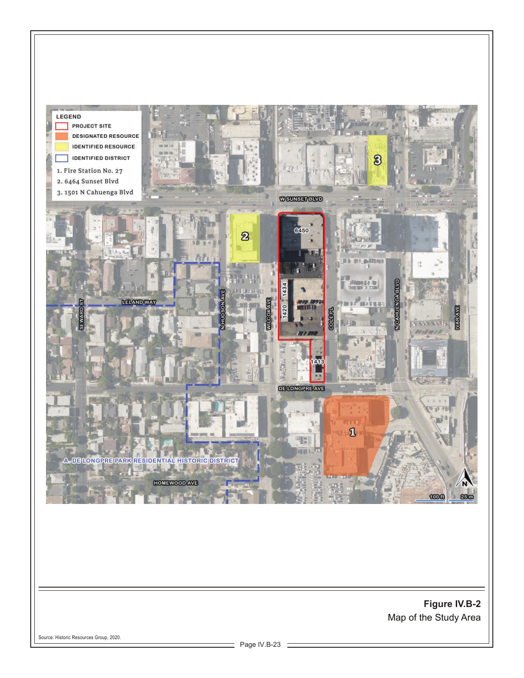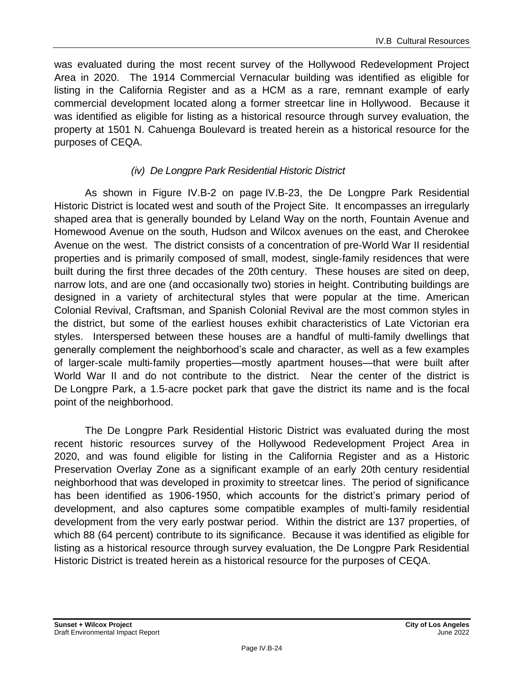was evaluated during the most recent survey of the Hollywood Redevelopment Project Area in 2020. The 1914 Commercial Vernacular building was identified as eligible for listing in the California Register and as a HCM as a rare, remnant example of early commercial development located along a former streetcar line in Hollywood. Because it was identified as eligible for listing as a historical resource through survey evaluation, the property at 1501 N. Cahuenga Boulevard is treated herein as a historical resource for the purposes of CEQA.

### *(iv) De Longpre Park Residential Historic District*

As shown in Figure IV.B-2 on page IV.B-23, the De Longpre Park Residential Historic District is located west and south of the Project Site. It encompasses an irregularly shaped area that is generally bounded by Leland Way on the north, Fountain Avenue and Homewood Avenue on the south, Hudson and Wilcox avenues on the east, and Cherokee Avenue on the west. The district consists of a concentration of pre‐World War II residential properties and is primarily composed of small, modest, single‐family residences that were built during the first three decades of the 20th century. These houses are sited on deep, narrow lots, and are one (and occasionally two) stories in height. Contributing buildings are designed in a variety of architectural styles that were popular at the time. American Colonial Revival, Craftsman, and Spanish Colonial Revival are the most common styles in the district, but some of the earliest houses exhibit characteristics of Late Victorian era styles. Interspersed between these houses are a handful of multi‐family dwellings that generally complement the neighborhood's scale and character, as well as a few examples of larger‐scale multi‐family properties—mostly apartment houses—that were built after World War II and do not contribute to the district. Near the center of the district is De Longpre Park, a 1.5‐acre pocket park that gave the district its name and is the focal point of the neighborhood.

The De Longpre Park Residential Historic District was evaluated during the most recent historic resources survey of the Hollywood Redevelopment Project Area in 2020, and was found eligible for listing in the California Register and as a Historic Preservation Overlay Zone as a significant example of an early 20th century residential neighborhood that was developed in proximity to streetcar lines. The period of significance has been identified as 1906-1950, which accounts for the district's primary period of development, and also captures some compatible examples of multi-family residential development from the very early postwar period. Within the district are 137 properties, of which 88 (64 percent) contribute to its significance. Because it was identified as eligible for listing as a historical resource through survey evaluation, the De Longpre Park Residential Historic District is treated herein as a historical resource for the purposes of CEQA.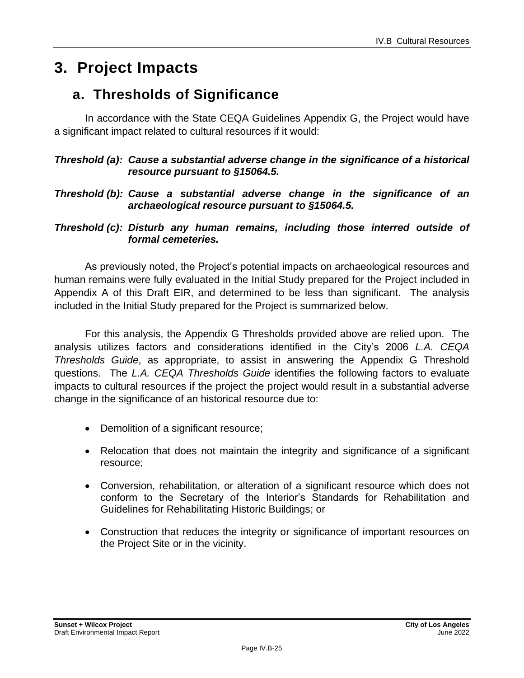# **3. Project Impacts**

# **a. Thresholds of Significance**

In accordance with the State CEQA Guidelines Appendix G, the Project would have a significant impact related to cultural resources if it would:

### *Threshold (a): Cause a substantial adverse change in the significance of a historical resource pursuant to §15064.5.*

### *Threshold (b): Cause a substantial adverse change in the significance of an archaeological resource pursuant to §15064.5.*

*Threshold (c): Disturb any human remains, including those interred outside of formal cemeteries.*

As previously noted, the Project's potential impacts on archaeological resources and human remains were fully evaluated in the Initial Study prepared for the Project included in Appendix A of this Draft EIR, and determined to be less than significant. The analysis included in the Initial Study prepared for the Project is summarized below.

For this analysis, the Appendix G Thresholds provided above are relied upon. The analysis utilizes factors and considerations identified in the City's 2006 *L.A. CEQA Thresholds Guide*, as appropriate, to assist in answering the Appendix G Threshold questions. The *L.A. CEQA Thresholds Guide* identifies the following factors to evaluate impacts to cultural resources if the project the project would result in a substantial adverse change in the significance of an historical resource due to:

- Demolition of a significant resource;
- Relocation that does not maintain the integrity and significance of a significant resource;
- Conversion, rehabilitation, or alteration of a significant resource which does not conform to the Secretary of the Interior's Standards for Rehabilitation and Guidelines for Rehabilitating Historic Buildings; or
- Construction that reduces the integrity or significance of important resources on the Project Site or in the vicinity.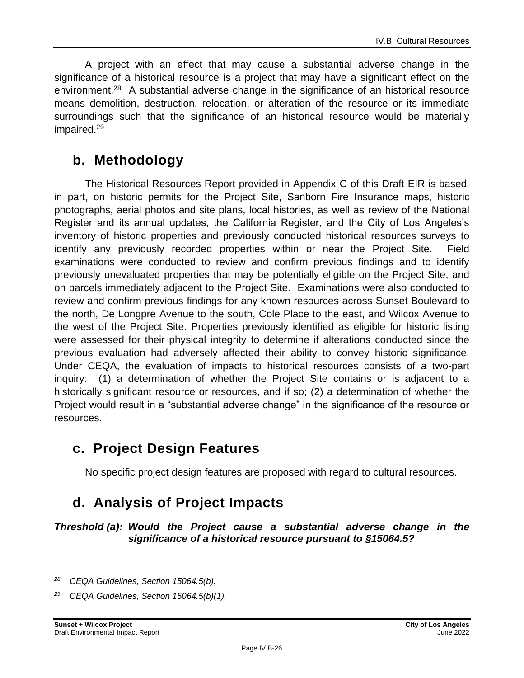A project with an effect that may cause a substantial adverse change in the significance of a historical resource is a project that may have a significant effect on the environment.<sup>28</sup> A substantial adverse change in the significance of an historical resource means demolition, destruction, relocation, or alteration of the resource or its immediate surroundings such that the significance of an historical resource would be materially impaired.<sup>29</sup>

### **b. Methodology**

The Historical Resources Report provided in Appendix C of this Draft EIR is based, in part, on historic permits for the Project Site, Sanborn Fire Insurance maps, historic photographs, aerial photos and site plans, local histories, as well as review of the National Register and its annual updates, the California Register, and the City of Los Angeles's inventory of historic properties and previously conducted historical resources surveys to identify any previously recorded properties within or near the Project Site. Field examinations were conducted to review and confirm previous findings and to identify previously unevaluated properties that may be potentially eligible on the Project Site, and on parcels immediately adjacent to the Project Site. Examinations were also conducted to review and confirm previous findings for any known resources across Sunset Boulevard to the north, De Longpre Avenue to the south, Cole Place to the east, and Wilcox Avenue to the west of the Project Site. Properties previously identified as eligible for historic listing were assessed for their physical integrity to determine if alterations conducted since the previous evaluation had adversely affected their ability to convey historic significance. Under CEQA, the evaluation of impacts to historical resources consists of a two-part inquiry: (1) a determination of whether the Project Site contains or is adjacent to a historically significant resource or resources, and if so; (2) a determination of whether the Project would result in a "substantial adverse change" in the significance of the resource or resources.

### **c. Project Design Features**

No specific project design features are proposed with regard to cultural resources.

# **d. Analysis of Project Impacts**

*Threshold (a): Would the Project cause a substantial adverse change in the significance of a historical resource pursuant to §15064.5?*

*<sup>28</sup> CEQA Guidelines, Section 15064.5(b).*

*<sup>29</sup> CEQA Guidelines, Section 15064.5(b)(1).*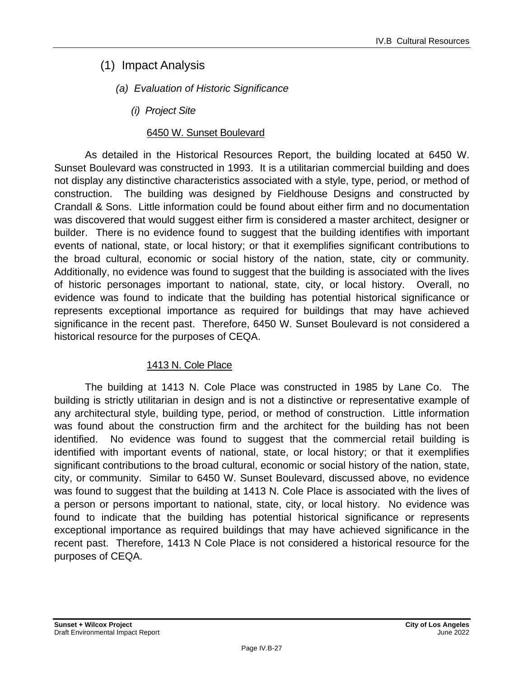- (1) Impact Analysis
	- *(a) Evaluation of Historic Significance*
		- *(i) Project Site*

### 6450 W. Sunset Boulevard

As detailed in the Historical Resources Report, the building located at 6450 W. Sunset Boulevard was constructed in 1993. It is a utilitarian commercial building and does not display any distinctive characteristics associated with a style, type, period, or method of construction. The building was designed by Fieldhouse Designs and constructed by Crandall & Sons. Little information could be found about either firm and no documentation was discovered that would suggest either firm is considered a master architect, designer or builder. There is no evidence found to suggest that the building identifies with important events of national, state, or local history; or that it exemplifies significant contributions to the broad cultural, economic or social history of the nation, state, city or community. Additionally, no evidence was found to suggest that the building is associated with the lives of historic personages important to national, state, city, or local history. Overall, no evidence was found to indicate that the building has potential historical significance or represents exceptional importance as required for buildings that may have achieved significance in the recent past. Therefore, 6450 W. Sunset Boulevard is not considered a historical resource for the purposes of CEQA.

### 1413 N. Cole Place

The building at 1413 N. Cole Place was constructed in 1985 by Lane Co. The building is strictly utilitarian in design and is not a distinctive or representative example of any architectural style, building type, period, or method of construction. Little information was found about the construction firm and the architect for the building has not been identified. No evidence was found to suggest that the commercial retail building is identified with important events of national, state, or local history; or that it exemplifies significant contributions to the broad cultural, economic or social history of the nation, state, city, or community. Similar to 6450 W. Sunset Boulevard, discussed above, no evidence was found to suggest that the building at 1413 N. Cole Place is associated with the lives of a person or persons important to national, state, city, or local history. No evidence was found to indicate that the building has potential historical significance or represents exceptional importance as required buildings that may have achieved significance in the recent past. Therefore, 1413 N Cole Place is not considered a historical resource for the purposes of CEQA.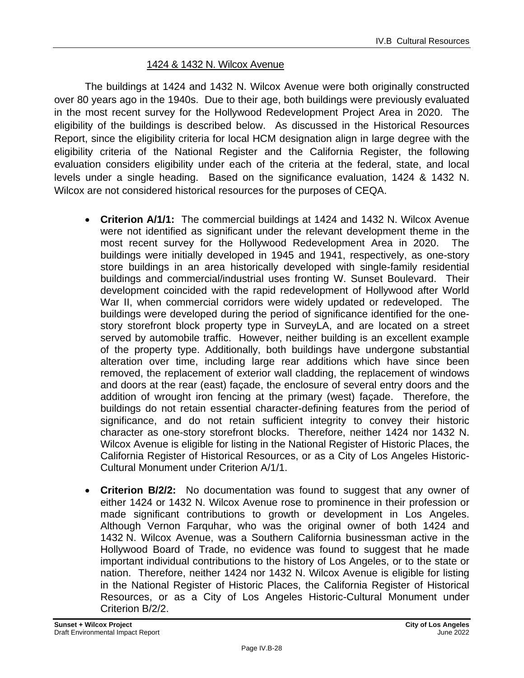#### 1424 & 1432 N. Wilcox Avenue

The buildings at 1424 and 1432 N. Wilcox Avenue were both originally constructed over 80 years ago in the 1940s. Due to their age, both buildings were previously evaluated in the most recent survey for the Hollywood Redevelopment Project Area in 2020. The eligibility of the buildings is described below. As discussed in the Historical Resources Report, since the eligibility criteria for local HCM designation align in large degree with the eligibility criteria of the National Register and the California Register, the following evaluation considers eligibility under each of the criteria at the federal, state, and local levels under a single heading. Based on the significance evaluation, 1424 & 1432 N. Wilcox are not considered historical resources for the purposes of CEQA.

- **Criterion A/1/1:** The commercial buildings at 1424 and 1432 N. Wilcox Avenue were not identified as significant under the relevant development theme in the most recent survey for the Hollywood Redevelopment Area in 2020. The buildings were initially developed in 1945 and 1941, respectively, as one-story store buildings in an area historically developed with single-family residential buildings and commercial/industrial uses fronting W. Sunset Boulevard. Their development coincided with the rapid redevelopment of Hollywood after World War II, when commercial corridors were widely updated or redeveloped. The buildings were developed during the period of significance identified for the onestory storefront block property type in SurveyLA, and are located on a street served by automobile traffic. However, neither building is an excellent example of the property type. Additionally, both buildings have undergone substantial alteration over time, including large rear additions which have since been removed, the replacement of exterior wall cladding, the replacement of windows and doors at the rear (east) façade, the enclosure of several entry doors and the addition of wrought iron fencing at the primary (west) façade. Therefore, the buildings do not retain essential character-defining features from the period of significance, and do not retain sufficient integrity to convey their historic character as one-story storefront blocks. Therefore, neither 1424 nor 1432 N. Wilcox Avenue is eligible for listing in the National Register of Historic Places, the California Register of Historical Resources, or as a City of Los Angeles Historic-Cultural Monument under Criterion A/1/1.
- **Criterion B/2/2:** No documentation was found to suggest that any owner of either 1424 or 1432 N. Wilcox Avenue rose to prominence in their profession or made significant contributions to growth or development in Los Angeles. Although Vernon Farquhar, who was the original owner of both 1424 and 1432 N. Wilcox Avenue, was a Southern California businessman active in the Hollywood Board of Trade, no evidence was found to suggest that he made important individual contributions to the history of Los Angeles, or to the state or nation. Therefore, neither 1424 nor 1432 N. Wilcox Avenue is eligible for listing in the National Register of Historic Places, the California Register of Historical Resources, or as a City of Los Angeles Historic-Cultural Monument under Criterion B/2/2.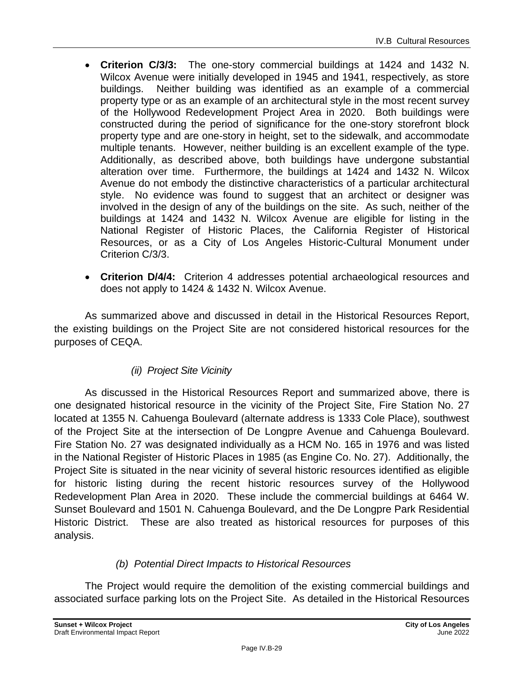- **Criterion C/3/3:** The one-story commercial buildings at 1424 and 1432 N. Wilcox Avenue were initially developed in 1945 and 1941, respectively, as store buildings. Neither building was identified as an example of a commercial property type or as an example of an architectural style in the most recent survey of the Hollywood Redevelopment Project Area in 2020. Both buildings were constructed during the period of significance for the one-story storefront block property type and are one-story in height, set to the sidewalk, and accommodate multiple tenants. However, neither building is an excellent example of the type. Additionally, as described above, both buildings have undergone substantial alteration over time. Furthermore, the buildings at 1424 and 1432 N. Wilcox Avenue do not embody the distinctive characteristics of a particular architectural style. No evidence was found to suggest that an architect or designer was involved in the design of any of the buildings on the site. As such, neither of the buildings at 1424 and 1432 N. Wilcox Avenue are eligible for listing in the National Register of Historic Places, the California Register of Historical Resources, or as a City of Los Angeles Historic-Cultural Monument under Criterion C/3/3.
- **Criterion D/4/4:** Criterion 4 addresses potential archaeological resources and does not apply to 1424 & 1432 N. Wilcox Avenue.

As summarized above and discussed in detail in the Historical Resources Report, the existing buildings on the Project Site are not considered historical resources for the purposes of CEQA.

### *(ii) Project Site Vicinity*

As discussed in the Historical Resources Report and summarized above, there is one designated historical resource in the vicinity of the Project Site, Fire Station No. 27 located at 1355 N. Cahuenga Boulevard (alternate address is 1333 Cole Place), southwest of the Project Site at the intersection of De Longpre Avenue and Cahuenga Boulevard. Fire Station No. 27 was designated individually as a HCM No. 165 in 1976 and was listed in the National Register of Historic Places in 1985 (as Engine Co. No. 27). Additionally, the Project Site is situated in the near vicinity of several historic resources identified as eligible for historic listing during the recent historic resources survey of the Hollywood Redevelopment Plan Area in 2020. These include the commercial buildings at 6464 W. Sunset Boulevard and 1501 N. Cahuenga Boulevard, and the De Longpre Park Residential Historic District. These are also treated as historical resources for purposes of this analysis.

### *(b) Potential Direct Impacts to Historical Resources*

The Project would require the demolition of the existing commercial buildings and associated surface parking lots on the Project Site. As detailed in the Historical Resources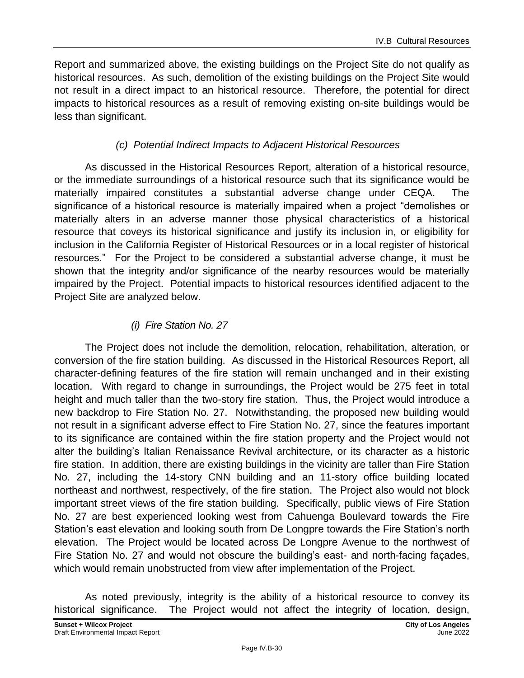Report and summarized above, the existing buildings on the Project Site do not qualify as historical resources. As such, demolition of the existing buildings on the Project Site would not result in a direct impact to an historical resource. Therefore, the potential for direct impacts to historical resources as a result of removing existing on-site buildings would be less than significant.

### *(c) Potential Indirect Impacts to Adjacent Historical Resources*

As discussed in the Historical Resources Report, alteration of a historical resource, or the immediate surroundings of a historical resource such that its significance would be materially impaired constitutes a substantial adverse change under CEQA. The significance of a historical resource is materially impaired when a project "demolishes or materially alters in an adverse manner those physical characteristics of a historical resource that coveys its historical significance and justify its inclusion in, or eligibility for inclusion in the California Register of Historical Resources or in a local register of historical resources." For the Project to be considered a substantial adverse change, it must be shown that the integrity and/or significance of the nearby resources would be materially impaired by the Project. Potential impacts to historical resources identified adjacent to the Project Site are analyzed below.

### *(i) Fire Station No. 27*

The Project does not include the demolition, relocation, rehabilitation, alteration, or conversion of the fire station building. As discussed in the Historical Resources Report, all character-defining features of the fire station will remain unchanged and in their existing location. With regard to change in surroundings, the Project would be 275 feet in total height and much taller than the two-story fire station. Thus, the Project would introduce a new backdrop to Fire Station No. 27. Notwithstanding, the proposed new building would not result in a significant adverse effect to Fire Station No. 27, since the features important to its significance are contained within the fire station property and the Project would not alter the building's Italian Renaissance Revival architecture, or its character as a historic fire station. In addition, there are existing buildings in the vicinity are taller than Fire Station No. 27, including the 14-story CNN building and an 11-story office building located northeast and northwest, respectively, of the fire station. The Project also would not block important street views of the fire station building. Specifically, public views of Fire Station No. 27 are best experienced looking west from Cahuenga Boulevard towards the Fire Station's east elevation and looking south from De Longpre towards the Fire Station's north elevation. The Project would be located across De Longpre Avenue to the northwest of Fire Station No. 27 and would not obscure the building's east- and north-facing façades, which would remain unobstructed from view after implementation of the Project.

As noted previously, integrity is the ability of a historical resource to convey its historical significance. The Project would not affect the integrity of location, design,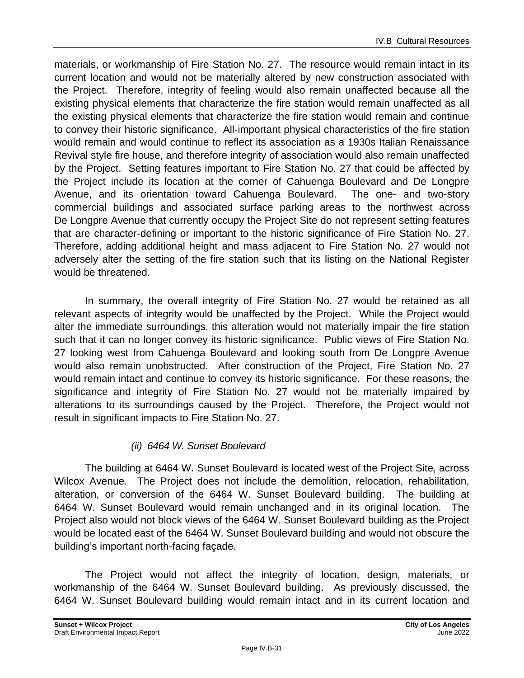materials, or workmanship of Fire Station No. 27. The resource would remain intact in its current location and would not be materially altered by new construction associated with the Project. Therefore, integrity of feeling would also remain unaffected because all the existing physical elements that characterize the fire station would remain unaffected as all the existing physical elements that characterize the fire station would remain and continue to convey their historic significance. All-important physical characteristics of the fire station would remain and would continue to reflect its association as a 1930s Italian Renaissance Revival style fire house, and therefore integrity of association would also remain unaffected by the Project. Setting features important to Fire Station No. 27 that could be affected by the Project include its location at the corner of Cahuenga Boulevard and De Longpre Avenue, and its orientation toward Cahuenga Boulevard. The one- and two-story commercial buildings and associated surface parking areas to the northwest across De Longpre Avenue that currently occupy the Project Site do not represent setting features that are character-defining or important to the historic significance of Fire Station No. 27. Therefore, adding additional height and mass adjacent to Fire Station No. 27 would not adversely alter the setting of the fire station such that its listing on the National Register would be threatened.

In summary, the overall integrity of Fire Station No. 27 would be retained as all relevant aspects of integrity would be unaffected by the Project. While the Project would alter the immediate surroundings, this alteration would not materially impair the fire station such that it can no longer convey its historic significance. Public views of Fire Station No. 27 looking west from Cahuenga Boulevard and looking south from De Longpre Avenue would also remain unobstructed. After construction of the Project, Fire Station No. 27 would remain intact and continue to convey its historic significance. For these reasons, the significance and integrity of Fire Station No. 27 would not be materially impaired by alterations to its surroundings caused by the Project. Therefore, the Project would not result in significant impacts to Fire Station No. 27.

### *(ii) 6464 W. Sunset Boulevard*

The building at 6464 W. Sunset Boulevard is located west of the Project Site, across Wilcox Avenue. The Project does not include the demolition, relocation, rehabilitation, alteration, or conversion of the 6464 W. Sunset Boulevard building. The building at 6464 W. Sunset Boulevard would remain unchanged and in its original location. The Project also would not block views of the 6464 W. Sunset Boulevard building as the Project would be located east of the 6464 W. Sunset Boulevard building and would not obscure the building's important north-facing façade.

The Project would not affect the integrity of location, design, materials, or workmanship of the 6464 W. Sunset Boulevard building. As previously discussed, the 6464 W. Sunset Boulevard building would remain intact and in its current location and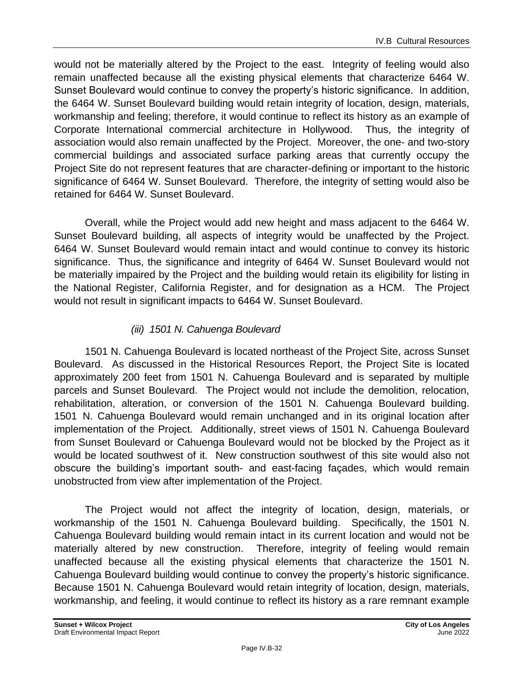would not be materially altered by the Project to the east. Integrity of feeling would also remain unaffected because all the existing physical elements that characterize 6464 W. Sunset Boulevard would continue to convey the property's historic significance. In addition, the 6464 W. Sunset Boulevard building would retain integrity of location, design, materials, workmanship and feeling; therefore, it would continue to reflect its history as an example of Corporate International commercial architecture in Hollywood. Thus, the integrity of association would also remain unaffected by the Project. Moreover, the one- and two-story commercial buildings and associated surface parking areas that currently occupy the Project Site do not represent features that are character-defining or important to the historic significance of 6464 W. Sunset Boulevard. Therefore, the integrity of setting would also be retained for 6464 W. Sunset Boulevard.

Overall, while the Project would add new height and mass adjacent to the 6464 W. Sunset Boulevard building, all aspects of integrity would be unaffected by the Project. 6464 W. Sunset Boulevard would remain intact and would continue to convey its historic significance. Thus, the significance and integrity of 6464 W. Sunset Boulevard would not be materially impaired by the Project and the building would retain its eligibility for listing in the National Register, California Register, and for designation as a HCM. The Project would not result in significant impacts to 6464 W. Sunset Boulevard.

### *(iii) 1501 N. Cahuenga Boulevard*

1501 N. Cahuenga Boulevard is located northeast of the Project Site, across Sunset Boulevard. As discussed in the Historical Resources Report, the Project Site is located approximately 200 feet from 1501 N. Cahuenga Boulevard and is separated by multiple parcels and Sunset Boulevard. The Project would not include the demolition, relocation, rehabilitation, alteration, or conversion of the 1501 N. Cahuenga Boulevard building. 1501 N. Cahuenga Boulevard would remain unchanged and in its original location after implementation of the Project. Additionally, street views of 1501 N. Cahuenga Boulevard from Sunset Boulevard or Cahuenga Boulevard would not be blocked by the Project as it would be located southwest of it. New construction southwest of this site would also not obscure the building's important south- and east-facing façades, which would remain unobstructed from view after implementation of the Project.

The Project would not affect the integrity of location, design, materials, or workmanship of the 1501 N. Cahuenga Boulevard building. Specifically, the 1501 N. Cahuenga Boulevard building would remain intact in its current location and would not be materially altered by new construction. Therefore, integrity of feeling would remain unaffected because all the existing physical elements that characterize the 1501 N. Cahuenga Boulevard building would continue to convey the property's historic significance. Because 1501 N. Cahuenga Boulevard would retain integrity of location, design, materials, workmanship, and feeling, it would continue to reflect its history as a rare remnant example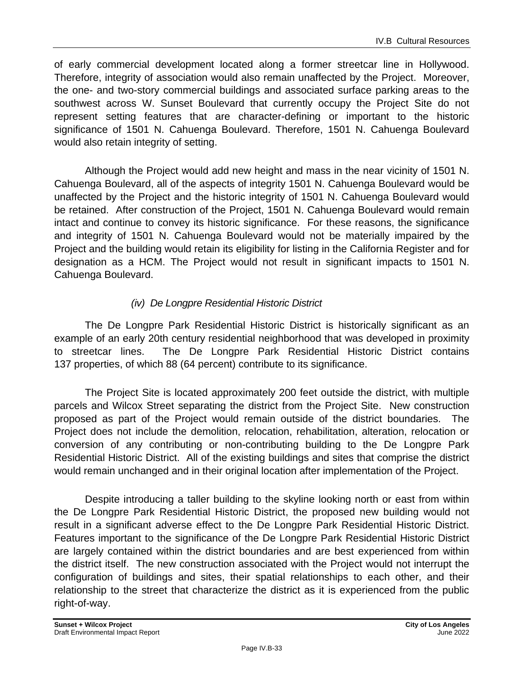of early commercial development located along a former streetcar line in Hollywood. Therefore, integrity of association would also remain unaffected by the Project. Moreover, the one- and two-story commercial buildings and associated surface parking areas to the southwest across W. Sunset Boulevard that currently occupy the Project Site do not represent setting features that are character-defining or important to the historic significance of 1501 N. Cahuenga Boulevard. Therefore, 1501 N. Cahuenga Boulevard would also retain integrity of setting.

Although the Project would add new height and mass in the near vicinity of 1501 N. Cahuenga Boulevard, all of the aspects of integrity 1501 N. Cahuenga Boulevard would be unaffected by the Project and the historic integrity of 1501 N. Cahuenga Boulevard would be retained. After construction of the Project, 1501 N. Cahuenga Boulevard would remain intact and continue to convey its historic significance. For these reasons, the significance and integrity of 1501 N. Cahuenga Boulevard would not be materially impaired by the Project and the building would retain its eligibility for listing in the California Register and for designation as a HCM. The Project would not result in significant impacts to 1501 N. Cahuenga Boulevard.

### *(iv) De Longpre Residential Historic District*

The De Longpre Park Residential Historic District is historically significant as an example of an early 20th century residential neighborhood that was developed in proximity to streetcar lines. The De Longpre Park Residential Historic District contains 137 properties, of which 88 (64 percent) contribute to its significance.

The Project Site is located approximately 200 feet outside the district, with multiple parcels and Wilcox Street separating the district from the Project Site. New construction proposed as part of the Project would remain outside of the district boundaries. The Project does not include the demolition, relocation, rehabilitation, alteration, relocation or conversion of any contributing or non-contributing building to the De Longpre Park Residential Historic District. All of the existing buildings and sites that comprise the district would remain unchanged and in their original location after implementation of the Project.

Despite introducing a taller building to the skyline looking north or east from within the De Longpre Park Residential Historic District, the proposed new building would not result in a significant adverse effect to the De Longpre Park Residential Historic District. Features important to the significance of the De Longpre Park Residential Historic District are largely contained within the district boundaries and are best experienced from within the district itself. The new construction associated with the Project would not interrupt the configuration of buildings and sites, their spatial relationships to each other, and their relationship to the street that characterize the district as it is experienced from the public right-of-way.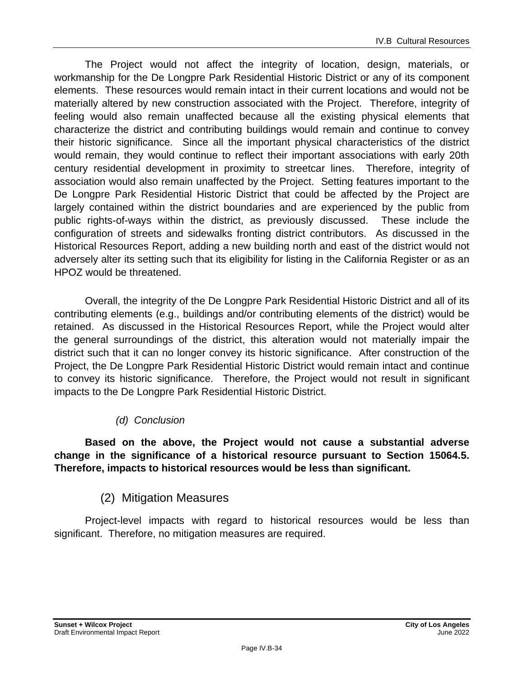The Project would not affect the integrity of location, design, materials, or workmanship for the De Longpre Park Residential Historic District or any of its component elements. These resources would remain intact in their current locations and would not be materially altered by new construction associated with the Project. Therefore, integrity of feeling would also remain unaffected because all the existing physical elements that characterize the district and contributing buildings would remain and continue to convey their historic significance. Since all the important physical characteristics of the district would remain, they would continue to reflect their important associations with early 20th century residential development in proximity to streetcar lines. Therefore, integrity of association would also remain unaffected by the Project. Setting features important to the De Longpre Park Residential Historic District that could be affected by the Project are largely contained within the district boundaries and are experienced by the public from public rights-of-ways within the district, as previously discussed. These include the configuration of streets and sidewalks fronting district contributors. As discussed in the Historical Resources Report, adding a new building north and east of the district would not adversely alter its setting such that its eligibility for listing in the California Register or as an HPOZ would be threatened.

Overall, the integrity of the De Longpre Park Residential Historic District and all of its contributing elements (e.g., buildings and/or contributing elements of the district) would be retained. As discussed in the Historical Resources Report, while the Project would alter the general surroundings of the district, this alteration would not materially impair the district such that it can no longer convey its historic significance. After construction of the Project, the De Longpre Park Residential Historic District would remain intact and continue to convey its historic significance. Therefore, the Project would not result in significant impacts to the De Longpre Park Residential Historic District.

### *(d) Conclusion*

**Based on the above, the Project would not cause a substantial adverse change in the significance of a historical resource pursuant to Section 15064.5. Therefore, impacts to historical resources would be less than significant.**

### (2) Mitigation Measures

Project-level impacts with regard to historical resources would be less than significant. Therefore, no mitigation measures are required.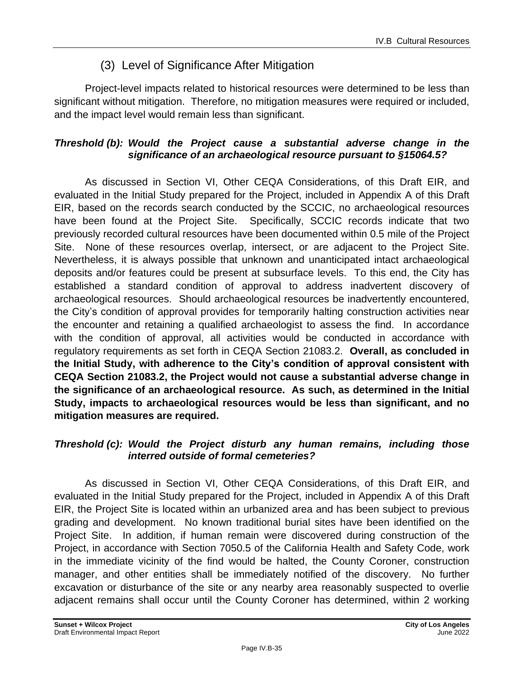### (3) Level of Significance After Mitigation

Project-level impacts related to historical resources were determined to be less than significant without mitigation. Therefore, no mitigation measures were required or included, and the impact level would remain less than significant.

### *Threshold (b): Would the Project cause a substantial adverse change in the significance of an archaeological resource pursuant to §15064.5?*

As discussed in Section VI, Other CEQA Considerations, of this Draft EIR, and evaluated in the Initial Study prepared for the Project, included in Appendix A of this Draft EIR, based on the records search conducted by the SCCIC, no archaeological resources have been found at the Project Site. Specifically, SCCIC records indicate that two previously recorded cultural resources have been documented within 0.5 mile of the Project Site. None of these resources overlap, intersect, or are adjacent to the Project Site. Nevertheless, it is always possible that unknown and unanticipated intact archaeological deposits and/or features could be present at subsurface levels. To this end, the City has established a standard condition of approval to address inadvertent discovery of archaeological resources. Should archaeological resources be inadvertently encountered, the City's condition of approval provides for temporarily halting construction activities near the encounter and retaining a qualified archaeologist to assess the find. In accordance with the condition of approval, all activities would be conducted in accordance with regulatory requirements as set forth in CEQA Section 21083.2. **Overall, as concluded in the Initial Study, with adherence to the City's condition of approval consistent with CEQA Section 21083.2, the Project would not cause a substantial adverse change in the significance of an archaeological resource. As such, as determined in the Initial Study, impacts to archaeological resources would be less than significant, and no mitigation measures are required.**

### *Threshold (c): Would the Project disturb any human remains, including those interred outside of formal cemeteries?*

As discussed in Section VI, Other CEQA Considerations, of this Draft EIR, and evaluated in the Initial Study prepared for the Project, included in Appendix A of this Draft EIR, the Project Site is located within an urbanized area and has been subject to previous grading and development. No known traditional burial sites have been identified on the Project Site. In addition, if human remain were discovered during construction of the Project, in accordance with Section 7050.5 of the California Health and Safety Code, work in the immediate vicinity of the find would be halted, the County Coroner, construction manager, and other entities shall be immediately notified of the discovery. No further excavation or disturbance of the site or any nearby area reasonably suspected to overlie adjacent remains shall occur until the County Coroner has determined, within 2 working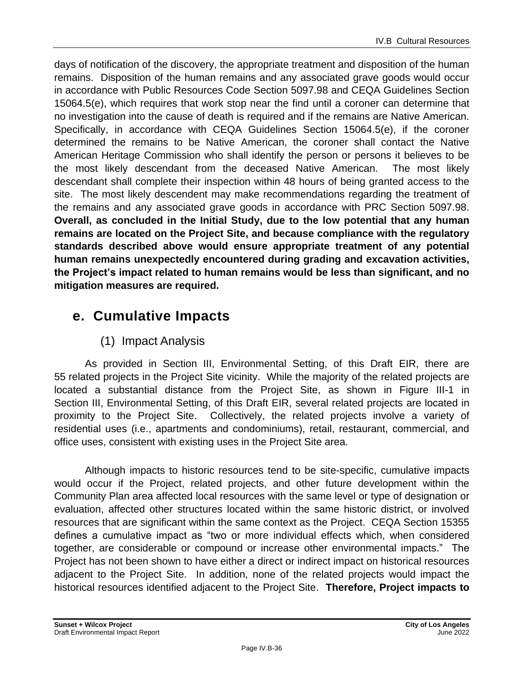days of notification of the discovery, the appropriate treatment and disposition of the human remains. Disposition of the human remains and any associated grave goods would occur in accordance with Public Resources Code Section 5097.98 and CEQA Guidelines Section 15064.5(e), which requires that work stop near the find until a coroner can determine that no investigation into the cause of death is required and if the remains are Native American. Specifically, in accordance with CEQA Guidelines Section 15064.5(e), if the coroner determined the remains to be Native American, the coroner shall contact the Native American Heritage Commission who shall identify the person or persons it believes to be the most likely descendant from the deceased Native American. The most likely descendant shall complete their inspection within 48 hours of being granted access to the site. The most likely descendent may make recommendations regarding the treatment of the remains and any associated grave goods in accordance with PRC Section 5097.98. **Overall, as concluded in the Initial Study, due to the low potential that any human remains are located on the Project Site, and because compliance with the regulatory standards described above would ensure appropriate treatment of any potential human remains unexpectedly encountered during grading and excavation activities, the Project's impact related to human remains would be less than significant, and no mitigation measures are required.**

# **e. Cumulative Impacts**

### (1) Impact Analysis

As provided in Section III, Environmental Setting, of this Draft EIR, there are 55 related projects in the Project Site vicinity. While the majority of the related projects are located a substantial distance from the Project Site, as shown in Figure III-1 in Section III, Environmental Setting, of this Draft EIR, several related projects are located in proximity to the Project Site. Collectively, the related projects involve a variety of residential uses (i.e., apartments and condominiums), retail, restaurant, commercial, and office uses, consistent with existing uses in the Project Site area.

Although impacts to historic resources tend to be site-specific, cumulative impacts would occur if the Project, related projects, and other future development within the Community Plan area affected local resources with the same level or type of designation or evaluation, affected other structures located within the same historic district, or involved resources that are significant within the same context as the Project. CEQA Section 15355 defines a cumulative impact as "two or more individual effects which, when considered together, are considerable or compound or increase other environmental impacts." The Project has not been shown to have either a direct or indirect impact on historical resources adjacent to the Project Site. In addition, none of the related projects would impact the historical resources identified adjacent to the Project Site. **Therefore, Project impacts to**